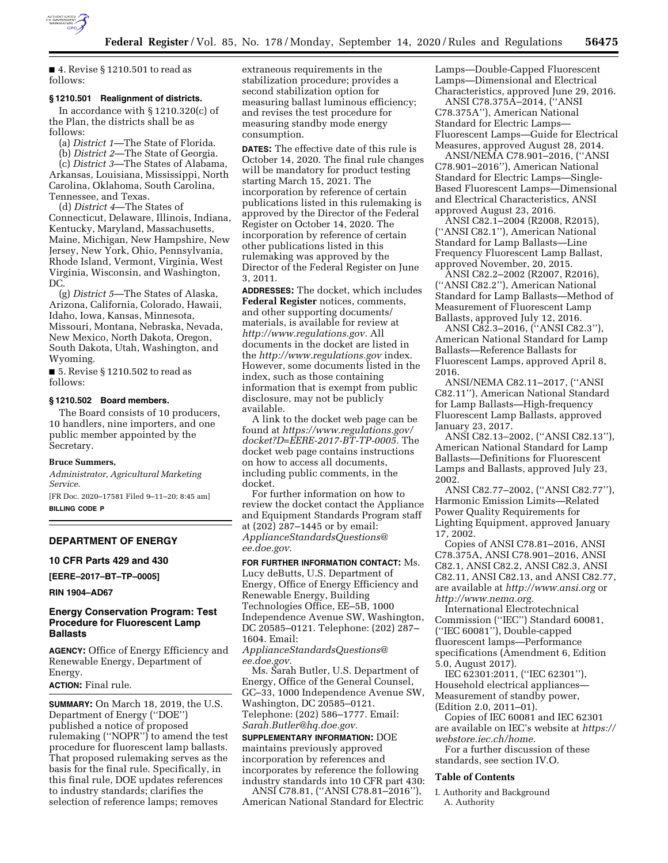

■ 4. Revise § 1210.501 to read as follows:

### **§ 1210.501 Realignment of districts.**

In accordance with § 1210.320(c) of the Plan, the districts shall be as follows:

(a) *District 1*—The State of Florida.

(b) *District 2*—The State of Georgia.

(c) *District 3*—The States of Alabama, Arkansas, Louisiana, Mississippi, North Carolina, Oklahoma, South Carolina, Tennessee, and Texas.

(d) *District 4*—The States of Connecticut, Delaware, Illinois, Indiana, Kentucky, Maryland, Massachusetts, Maine, Michigan, New Hampshire, New Jersey, New York, Ohio, Pennsylvania, Rhode Island, Vermont, Virginia, West Virginia, Wisconsin, and Washington, DC.

(g) *District 5*—The States of Alaska, Arizona, California, Colorado, Hawaii, Idaho, Iowa, Kansas, Minnesota, Missouri, Montana, Nebraska, Nevada, New Mexico, North Dakota, Oregon, South Dakota, Utah, Washington, and Wyoming.

■ 5. Revise § 1210.502 to read as follows:

# **§ 1210.502 Board members.**

The Board consists of 10 producers, 10 handlers, nine importers, and one public member appointed by the Secretary.

#### **Bruce Summers,**

*Administrator, Agricultural Marketing Service.* 

[FR Doc. 2020–17581 Filed 9–11–20; 8:45 am] **BILLING CODE P** 

**DEPARTMENT OF ENERGY** 

#### **10 CFR Parts 429 and 430**

**[EERE–2017–BT–TP–0005]** 

**RIN 1904–AD67** 

## **Energy Conservation Program: Test Procedure for Fluorescent Lamp Ballasts**

**AGENCY:** Office of Energy Efficiency and Renewable Energy, Department of Energy.

**ACTION:** Final rule.

**SUMMARY:** On March 18, 2019, the U.S. Department of Energy (''DOE'') published a notice of proposed rulemaking (''NOPR'') to amend the test procedure for fluorescent lamp ballasts. That proposed rulemaking serves as the basis for the final rule. Specifically, in this final rule, DOE updates references to industry standards; clarifies the selection of reference lamps; removes

extraneous requirements in the stabilization procedure; provides a second stabilization option for measuring ballast luminous efficiency; and revises the test procedure for measuring standby mode energy consumption.

**DATES:** The effective date of this rule is October 14, 2020. The final rule changes will be mandatory for product testing starting March 15, 2021. The incorporation by reference of certain publications listed in this rulemaking is approved by the Director of the Federal Register on October 14, 2020. The incorporation by reference of certain other publications listed in this rulemaking was approved by the Director of the Federal Register on June 3, 2011.

**ADDRESSES:** The docket, which includes **Federal Register** notices, comments, and other supporting documents/ materials, is available for review at *[http://www.regulations.gov.](http://www.regulations.gov)* All documents in the docket are listed in the *<http://www.regulations.gov>*index. However, some documents listed in the index, such as those containing information that is exempt from public disclosure, may not be publicly available.

A link to the docket web page can be found at *[https://www.regulations.gov/](https://www.regulations.gov/docket?D=EERE-2017-BT-TP-0005)  [docket?D=EERE-2017-BT-TP-0005.](https://www.regulations.gov/docket?D=EERE-2017-BT-TP-0005)* The docket web page contains instructions on how to access all documents, including public comments, in the docket.

For further information on how to review the docket contact the Appliance and Equipment Standards Program staff at (202) 287–1445 or by email: *[ApplianceStandardsQuestions@](mailto:ApplianceStandardsQuestions@ee.doe.gov) [ee.doe.gov.](mailto:ApplianceStandardsQuestions@ee.doe.gov)* 

**FOR FURTHER INFORMATION CONTACT:** Ms. Lucy deButts, U.S. Department of Energy, Office of Energy Efficiency and Renewable Energy, Building Technologies Office, EE–5B, 1000 Independence Avenue SW, Washington, DC 20585–0121. Telephone: (202) 287– 1604. Email: *[ApplianceStandardsQuestions@](mailto:ApplianceStandardsQuestions@ee.doe.gov)*

*[ee.doe.gov.](mailto:ApplianceStandardsQuestions@ee.doe.gov)* 

Ms. Sarah Butler, U.S. Department of Energy, Office of the General Counsel, GC–33, 1000 Independence Avenue SW, Washington, DC 20585–0121. Telephone: (202) 586–1777. Email: *[Sarah.Butler@hq.doe.gov.](mailto:Sarah.Butler@hq.doe.gov)* 

**SUPPLEMENTARY INFORMATION:** DOE maintains previously approved incorporation by references and incorporates by reference the following industry standards into 10 CFR part 430:

ANSI C78.81, (''ANSI C78.81–2016''), American National Standard for Electric Lamps—Double-Capped Fluorescent Lamps—Dimensional and Electrical Characteristics, approved June 29, 2016.

ANSI C78.375A–2014, (''ANSI C78.375A''), American National Standard for Electric Lamps— Fluorescent Lamps—Guide for Electrical Measures, approved August 28, 2014.

ANSI/NEMA C78.901–2016, (''ANSI C78.901–2016''), American National Standard for Electric Lamps—Single-Based Fluorescent Lamps—Dimensional and Electrical Characteristics, ANSI approved August 23, 2016.

ANSI C82.1–2004 (R2008, R2015), (''ANSI C82.1''), American National Standard for Lamp Ballasts—Line Frequency Fluorescent Lamp Ballast, approved November, 20, 2015.

ANSI C82.2–2002 (R2007, R2016), (''ANSI C82.2''), American National Standard for Lamp Ballasts—Method of Measurement of Fluorescent Lamp Ballasts, approved July 12, 2016.

ANSI C82.3–2016, (''ANSI C82.3''), American National Standard for Lamp Ballasts—Reference Ballasts for Fluorescent Lamps, approved April 8, 2016.

ANSI/NEMA C82.11–2017, (''ANSI C82.11''), American National Standard for Lamp Ballasts—High-frequency Fluorescent Lamp Ballasts, approved January 23, 2017.

ANSI C82.13–2002, (''ANSI C82.13''), American National Standard for Lamp Ballasts—Definitions for Fluorescent Lamps and Ballasts, approved July 23, 2002.

ANSI C82.77–2002, (''ANSI C82.77''), Harmonic Emission Limits—Related Power Quality Requirements for Lighting Equipment, approved January 17, 2002.

Copies of ANSI C78.81–2016, ANSI C78.375A, ANSI C78.901–2016, ANSI C82.1, ANSI C82.2, ANSI C82.3, ANSI C82.11, ANSI C82.13, and ANSI C82.77, are available at *<http://www.ansi.org>*or *[http://www.nema.org.](http://www.nema.org)* 

International Electrotechnical Commission (''IEC'') Standard 60081, (''IEC 60081''), Double-capped fluorescent lamps—Performance specifications (Amendment 6, Edition 5.0, August 2017).

IEC 62301:2011, (''IEC 62301''), Household electrical appliances— Measurement of standby power, (Edition 2.0, 2011–01).

Copies of IEC 60081 and IEC 62301 are available on IEC's website at *[https://](https://webstore.iec.ch/home) [webstore.iec.ch/home.](https://webstore.iec.ch/home)* 

For a further discussion of these standards, see section IV.O.

## **Table of Contents**

I. Authority and Background A. Authority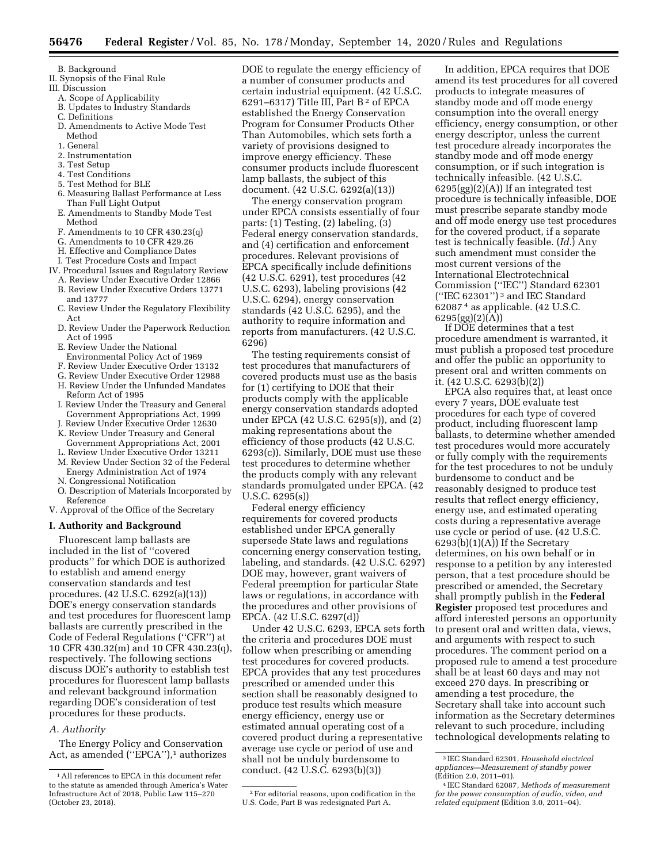B. Background

- II. Synopsis of the Final Rule
- III. Discussion
	- A. Scope of Applicability
	- B. Updates to Industry Standards
	- C. Definitions
	- D. Amendments to Active Mode Test Method
	- 1. General
	- 2. Instrumentation
	- 3. Test Setup
	- 4. Test Conditions
	- 5. Test Method for BLE
	- 6. Measuring Ballast Performance at Less Than Full Light Output
	- E. Amendments to Standby Mode Test Method
	- F. Amendments to 10 CFR 430.23(q)
	- G. Amendments to 10 CFR 429.26
	- H. Effective and Compliance Dates
	- I. Test Procedure Costs and Impact
- IV. Procedural Issues and Regulatory Review A. Review Under Executive Order 12866
	- B. Review Under Executive Orders 13771 and 13777
	- C. Review Under the Regulatory Flexibility Act
	- D. Review Under the Paperwork Reduction Act of 1995
	- E. Review Under the National
	- Environmental Policy Act of 1969
	- F. Review Under Executive Order 13132
	- G. Review Under Executive Order 12988
	- H. Review Under the Unfunded Mandates Reform Act of 1995
	- I. Review Under the Treasury and General Government Appropriations Act, 1999
	- J. Review Under Executive Order 12630 K. Review Under Treasury and General
	- Government Appropriations Act, 2001 L. Review Under Executive Order 13211
	- M. Review Under Section 32 of the Federal
	- Energy Administration Act of 1974 N. Congressional Notification
	- O. Description of Materials Incorporated by Reference
- V. Approval of the Office of the Secretary

### **I. Authority and Background**

Fluorescent lamp ballasts are included in the list of ''covered products'' for which DOE is authorized to establish and amend energy conservation standards and test procedures. (42 U.S.C. 6292(a)(13)) DOE's energy conservation standards and test procedures for fluorescent lamp ballasts are currently prescribed in the Code of Federal Regulations (''CFR'') at 10 CFR 430.32(m) and 10 CFR 430.23(q), respectively. The following sections discuss DOE's authority to establish test procedures for fluorescent lamp ballasts and relevant background information regarding DOE's consideration of test procedures for these products.

## *A. Authority*

The Energy Policy and Conservation Act, as amended ("EPCA"),<sup>1</sup> authorizes

DOE to regulate the energy efficiency of a number of consumer products and certain industrial equipment. (42 U.S.C. 6291–6317) Title III, Part B<sup>2</sup> of EPCA established the Energy Conservation Program for Consumer Products Other Than Automobiles, which sets forth a variety of provisions designed to improve energy efficiency. These consumer products include fluorescent lamp ballasts, the subject of this document. (42 U.S.C. 6292(a)(13))

The energy conservation program under EPCA consists essentially of four parts: (1) Testing, (2) labeling, (3) Federal energy conservation standards, and (4) certification and enforcement procedures. Relevant provisions of EPCA specifically include definitions (42 U.S.C. 6291), test procedures (42 U.S.C. 6293), labeling provisions (42 U.S.C. 6294), energy conservation standards (42 U.S.C. 6295), and the authority to require information and reports from manufacturers. (42 U.S.C. 6296)

The testing requirements consist of test procedures that manufacturers of covered products must use as the basis for (1) certifying to DOE that their products comply with the applicable energy conservation standards adopted under EPCA (42 U.S.C. 6295(s)), and (2) making representations about the efficiency of those products (42 U.S.C. 6293(c)). Similarly, DOE must use these test procedures to determine whether the products comply with any relevant standards promulgated under EPCA. (42 U.S.C. 6295(s))

Federal energy efficiency requirements for covered products established under EPCA generally supersede State laws and regulations concerning energy conservation testing, labeling, and standards. (42 U.S.C. 6297) DOE may, however, grant waivers of Federal preemption for particular State laws or regulations, in accordance with the procedures and other provisions of EPCA. (42 U.S.C. 6297(d))

Under 42 U.S.C. 6293, EPCA sets forth the criteria and procedures DOE must follow when prescribing or amending test procedures for covered products. EPCA provides that any test procedures prescribed or amended under this section shall be reasonably designed to produce test results which measure energy efficiency, energy use or estimated annual operating cost of a covered product during a representative average use cycle or period of use and shall not be unduly burdensome to conduct. (42 U.S.C. 6293(b)(3))

In addition, EPCA requires that DOE amend its test procedures for all covered products to integrate measures of standby mode and off mode energy consumption into the overall energy efficiency, energy consumption, or other energy descriptor, unless the current test procedure already incorporates the standby mode and off mode energy consumption, or if such integration is technically infeasible. (42 U.S.C.  $6295(gg)(2)(A)$  If an integrated test procedure is technically infeasible, DOE must prescribe separate standby mode and off mode energy use test procedures for the covered product, if a separate test is technically feasible. (*Id.*) Any such amendment must consider the most current versions of the International Electrotechnical Commission (''IEC'') Standard 62301 (''IEC 62301'') 3 and IEC Standard 62087 4 as applicable. (42 U.S.C. 6295(gg)(2)(A))

If DOE determines that a test procedure amendment is warranted, it must publish a proposed test procedure and offer the public an opportunity to present oral and written comments on it. (42 U.S.C. 6293(b)(2))

EPCA also requires that, at least once every 7 years, DOE evaluate test procedures for each type of covered product, including fluorescent lamp ballasts, to determine whether amended test procedures would more accurately or fully comply with the requirements for the test procedures to not be unduly burdensome to conduct and be reasonably designed to produce test results that reflect energy efficiency, energy use, and estimated operating costs during a representative average use cycle or period of use. (42 U.S.C.  $6293(b)(1)(A)$  If the Secretary determines, on his own behalf or in response to a petition by any interested person, that a test procedure should be prescribed or amended, the Secretary shall promptly publish in the **Federal Register** proposed test procedures and afford interested persons an opportunity to present oral and written data, views, and arguments with respect to such procedures. The comment period on a proposed rule to amend a test procedure shall be at least 60 days and may not exceed 270 days. In prescribing or amending a test procedure, the Secretary shall take into account such information as the Secretary determines relevant to such procedure, including technological developments relating to

<sup>1</sup>All references to EPCA in this document refer to the statute as amended through America's Water Infrastructure Act of 2018, Public Law 115–270 (October 23, 2018).

<sup>2</sup>For editorial reasons, upon codification in the U.S. Code, Part B was redesignated Part A.

<sup>3</sup> IEC Standard 62301, *Household electrical appliances—Measurement of standby power*  (Edition 2.0, 2011–01). 4 IEC Standard 62087, *Methods of measurement* 

*for the power consumption of audio, video, and related equipment* (Edition 3.0, 2011–04).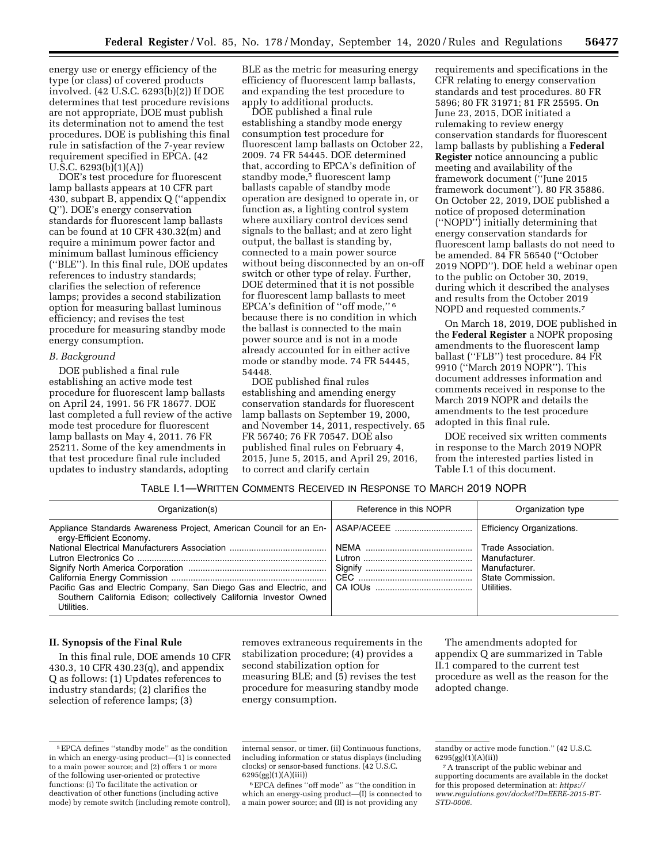energy use or energy efficiency of the type (or class) of covered products involved. (42 U.S.C. 6293(b)(2)) If DOE determines that test procedure revisions are not appropriate, DOE must publish its determination not to amend the test procedures. DOE is publishing this final rule in satisfaction of the 7-year review requirement specified in EPCA. (42 U.S.C. 6293(b)(1)(A))

DOE's test procedure for fluorescent lamp ballasts appears at 10 CFR part 430, subpart B, appendix Q (''appendix Q''). DOE's energy conservation standards for fluorescent lamp ballasts can be found at 10 CFR 430.32(m) and require a minimum power factor and minimum ballast luminous efficiency (''BLE''). In this final rule, DOE updates references to industry standards; clarifies the selection of reference lamps; provides a second stabilization option for measuring ballast luminous efficiency; and revises the test procedure for measuring standby mode energy consumption.

#### *B. Background*

DOE published a final rule establishing an active mode test procedure for fluorescent lamp ballasts on April 24, 1991. 56 FR 18677. DOE last completed a full review of the active mode test procedure for fluorescent lamp ballasts on May 4, 2011. 76 FR 25211. Some of the key amendments in that test procedure final rule included updates to industry standards, adopting

BLE as the metric for measuring energy efficiency of fluorescent lamp ballasts, and expanding the test procedure to apply to additional products.

DOE published a final rule establishing a standby mode energy consumption test procedure for fluorescent lamp ballasts on October 22, 2009. 74 FR 54445. DOE determined that, according to EPCA's definition of standby mode,<sup>5</sup> fluorescent lamp ballasts capable of standby mode operation are designed to operate in, or function as, a lighting control system where auxiliary control devices send signals to the ballast; and at zero light output, the ballast is standing by, connected to a main power source without being disconnected by an on-off switch or other type of relay. Further, DOE determined that it is not possible for fluorescent lamp ballasts to meet EPCA's definition of ''off mode,'' 6 because there is no condition in which the ballast is connected to the main power source and is not in a mode already accounted for in either active mode or standby mode. 74 FR 54445, 54448.

DOE published final rules establishing and amending energy conservation standards for fluorescent lamp ballasts on September 19, 2000, and November 14, 2011, respectively. 65 FR 56740; 76 FR 70547. DOE also published final rules on February 4, 2015, June 5, 2015, and April 29, 2016, to correct and clarify certain

requirements and specifications in the CFR relating to energy conservation standards and test procedures. 80 FR 5896; 80 FR 31971; 81 FR 25595. On June 23, 2015, DOE initiated a rulemaking to review energy conservation standards for fluorescent lamp ballasts by publishing a **Federal Register** notice announcing a public meeting and availability of the framework document (''June 2015 framework document''). 80 FR 35886. On October 22, 2019, DOE published a notice of proposed determination (''NOPD'') initially determining that energy conservation standards for fluorescent lamp ballasts do not need to be amended. 84 FR 56540 (''October 2019 NOPD''). DOE held a webinar open to the public on October 30, 2019, during which it described the analyses and results from the October 2019 NOPD and requested comments.7

On March 18, 2019, DOE published in the **Federal Register** a NOPR proposing amendments to the fluorescent lamp ballast (''FLB'') test procedure. 84 FR 9910 (''March 2019 NOPR''). This document addresses information and comments received in response to the March 2019 NOPR and details the amendments to the test procedure adopted in this final rule.

DOE received six written comments in response to the March 2019 NOPR from the interested parties listed in Table I.1 of this document.

# TABLE I.1—WRITTEN COMMENTS RECEIVED IN RESPONSE TO MARCH 2019 NOPR

| Organization(s)                                                                                            | Reference in this NOPR | Organization type                |
|------------------------------------------------------------------------------------------------------------|------------------------|----------------------------------|
| Appliance Standards Awareness Project, American Council for an En-   ASAP/ACEEE<br>ergy-Efficient Economy. |                        | <b>Efficiency Organizations.</b> |
|                                                                                                            |                        | Trade Association.               |
|                                                                                                            |                        | Manufacturer.                    |
|                                                                                                            |                        | Manufacturer.                    |
|                                                                                                            |                        | State Commission.                |
|                                                                                                            |                        | Utilities.                       |
| Southern California Edison; collectively California Investor Owned<br>Utilities.                           |                        |                                  |

## **II. Synopsis of the Final Rule**

In this final rule, DOE amends 10 CFR 430.3, 10 CFR 430.23(q), and appendix Q as follows: (1) Updates references to industry standards; (2) clarifies the selection of reference lamps; (3)

removes extraneous requirements in the stabilization procedure; (4) provides a second stabilization option for measuring BLE; and (5) revises the test procedure for measuring standby mode energy consumption.

The amendments adopted for appendix Q are summarized in Table II.1 compared to the current test procedure as well as the reason for the adopted change.

<sup>5</sup>EPCA defines ''standby mode'' as the condition in which an energy-using product—(1) is connected to a main power source; and (2) offers 1 or more of the following user-oriented or protective functions: (i) To facilitate the activation or deactivation of other functions (including active mode) by remote switch (including remote control),

internal sensor, or timer. (ii) Continuous functions, including information or status displays (including clocks) or sensor-based functions. (42 U.S.C. 6295(gg)(1)(A)(iii))

 $^6\rm{EPCA}$  defines ''off mode'' as ''the condition in which an energy-using product—(I) is connected to a main power source; and (II) is not providing any

standby or active mode function.'' (42 U.S.C. 6295(gg)(1)(A)(ii))

<sup>7</sup>A transcript of the public webinar and supporting documents are available in the docket for this proposed determination at: *[https://](https://www.regulations.gov/docket?D=EERE-2015-BT-STD-0006) [www.regulations.gov/docket?D=EERE-2015-BT-](https://www.regulations.gov/docket?D=EERE-2015-BT-STD-0006)[STD-0006.](https://www.regulations.gov/docket?D=EERE-2015-BT-STD-0006)*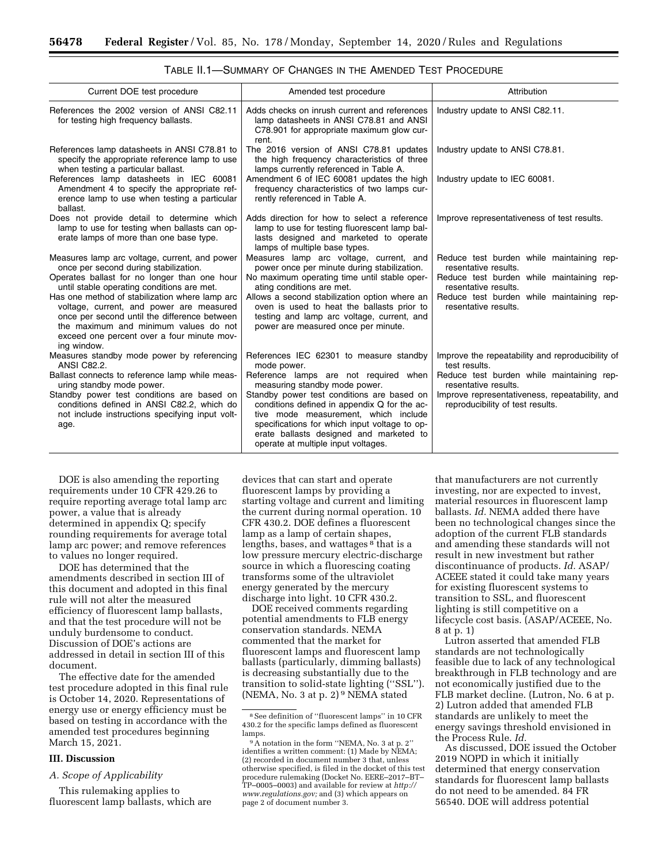| Current DOE test procedure                                                                                                                                                                                                                       | Amended test procedure                                                                                                                                                                                                                                                | Attribution                                                                        |
|--------------------------------------------------------------------------------------------------------------------------------------------------------------------------------------------------------------------------------------------------|-----------------------------------------------------------------------------------------------------------------------------------------------------------------------------------------------------------------------------------------------------------------------|------------------------------------------------------------------------------------|
| References the 2002 version of ANSI C82.11<br>for testing high frequency ballasts.                                                                                                                                                               | Adds checks on inrush current and references<br>lamp datasheets in ANSI C78.81 and ANSI<br>C78.901 for appropriate maximum glow cur-<br>rent.                                                                                                                         | Industry update to ANSI C82.11.                                                    |
| References lamp datasheets in ANSI C78.81 to<br>specify the appropriate reference lamp to use<br>when testing a particular ballast.                                                                                                              | The 2016 version of ANSI C78.81 updates<br>the high frequency characteristics of three<br>lamps currently referenced in Table A.                                                                                                                                      | Industry update to ANSI C78.81.                                                    |
| References lamp datasheets in IEC 60081<br>Amendment 4 to specify the appropriate ref-<br>erence lamp to use when testing a particular<br>ballast.                                                                                               | Amendment 6 of IEC 60081 updates the high<br>frequency characteristics of two lamps cur-<br>rently referenced in Table A.                                                                                                                                             | Industry update to IEC 60081.                                                      |
| Does not provide detail to determine which<br>lamp to use for testing when ballasts can op-<br>erate lamps of more than one base type.                                                                                                           | Adds direction for how to select a reference<br>lamp to use for testing fluorescent lamp bal-<br>lasts designed and marketed to operate<br>lamps of multiple base types.                                                                                              | Improve representativeness of test results.                                        |
| Measures lamp arc voltage, current, and power<br>once per second during stabilization.                                                                                                                                                           | Measures lamp arc voltage, current, and<br>power once per minute during stabilization.                                                                                                                                                                                | Reduce test burden while maintaining rep-<br>resentative results.                  |
| Operates ballast for no longer than one hour<br>until stable operating conditions are met.                                                                                                                                                       | No maximum operating time until stable oper-<br>ating conditions are met.                                                                                                                                                                                             | Reduce test burden while maintaining rep-<br>resentative results.                  |
| Has one method of stabilization where lamp arc<br>voltage, current, and power are measured<br>once per second until the difference between<br>the maximum and minimum values do not<br>exceed one percent over a four minute mov-<br>ing window. | Allows a second stabilization option where an<br>oven is used to heat the ballasts prior to<br>testing and lamp arc voltage, current, and<br>power are measured once per minute.                                                                                      | Reduce test burden while maintaining rep-<br>resentative results.                  |
| Measures standby mode power by referencing<br><b>ANSI C82.2.</b>                                                                                                                                                                                 | References IEC 62301 to measure standby<br>mode power.                                                                                                                                                                                                                | Improve the repeatability and reproducibility of<br>test results.                  |
| Ballast connects to reference lamp while meas-<br>uring standby mode power.                                                                                                                                                                      | Reference lamps are not required when<br>measuring standby mode power.                                                                                                                                                                                                | Reduce test burden while maintaining rep-<br>resentative results.                  |
| Standby power test conditions are based on<br>conditions defined in ANSI C82.2, which do<br>not include instructions specifying input volt-<br>age.                                                                                              | Standby power test conditions are based on<br>conditions defined in appendix Q for the ac-<br>tive mode measurement, which include<br>specifications for which input voltage to op-<br>erate ballasts designed and marketed to<br>operate at multiple input voltages. | Improve representativeness, repeatability, and<br>reproducibility of test results. |

TABLE II.1—SUMMARY OF CHANGES IN THE AMENDED TEST PROCEDURE

DOE is also amending the reporting requirements under 10 CFR 429.26 to require reporting average total lamp arc power, a value that is already determined in appendix Q; specify rounding requirements for average total lamp arc power; and remove references to values no longer required.

DOE has determined that the amendments described in section III of this document and adopted in this final rule will not alter the measured efficiency of fluorescent lamp ballasts, and that the test procedure will not be unduly burdensome to conduct. Discussion of DOE's actions are addressed in detail in section III of this document.

The effective date for the amended test procedure adopted in this final rule is October 14, 2020. Representations of energy use or energy efficiency must be based on testing in accordance with the amended test procedures beginning March 15, 2021.

## **III. Discussion**

#### *A. Scope of Applicability*

This rulemaking applies to fluorescent lamp ballasts, which are

devices that can start and operate fluorescent lamps by providing a starting voltage and current and limiting the current during normal operation. 10 CFR 430.2. DOE defines a fluorescent lamp as a lamp of certain shapes, lengths, bases, and wattages 8 that is a low pressure mercury electric-discharge source in which a fluorescing coating transforms some of the ultraviolet energy generated by the mercury discharge into light. 10 CFR 430.2.

DOE received comments regarding potential amendments to FLB energy conservation standards. NEMA commented that the market for fluorescent lamps and fluorescent lamp ballasts (particularly, dimming ballasts) is decreasing substantially due to the transition to solid-state lighting (''SSL''). (NEMA, No. 3 at p. 2) $9$  NEMA stated

that manufacturers are not currently investing, nor are expected to invest, material resources in fluorescent lamp ballasts. *Id.* NEMA added there have been no technological changes since the adoption of the current FLB standards and amending these standards will not result in new investment but rather discontinuance of products. *Id.* ASAP/ ACEEE stated it could take many years for existing fluorescent systems to transition to SSL, and fluorescent lighting is still competitive on a lifecycle cost basis. (ASAP/ACEEE, No. 8 at p. 1)

Lutron asserted that amended FLB standards are not technologically feasible due to lack of any technological breakthrough in FLB technology and are not economically justified due to the FLB market decline. (Lutron, No. 6 at p. 2) Lutron added that amended FLB standards are unlikely to meet the energy savings threshold envisioned in the Process Rule. *Id.* 

As discussed, DOE issued the October 2019 NOPD in which it initially determined that energy conservation standards for fluorescent lamp ballasts do not need to be amended. 84 FR 56540. DOE will address potential

<sup>8</sup>See definition of ''fluorescent lamps'' in 10 CFR 430.2 for the specific lamps defined as fluorescent

 $\overline{P}$ <sup>9</sup>A notation in the form "NEMA, No. 3 at p. 2" identifies a written comment: (1) Made by NEMA; (2) recorded in document number 3 that, unless otherwise specified, is filed in the docket of this test procedure rulemaking (Docket No. EERE–2017–BT– TP–0005–0003) and available for review at *[http://](http://www.regulations.gov)  [www.regulations.gov;](http://www.regulations.gov)* and (3) which appears on page 2 of document number 3.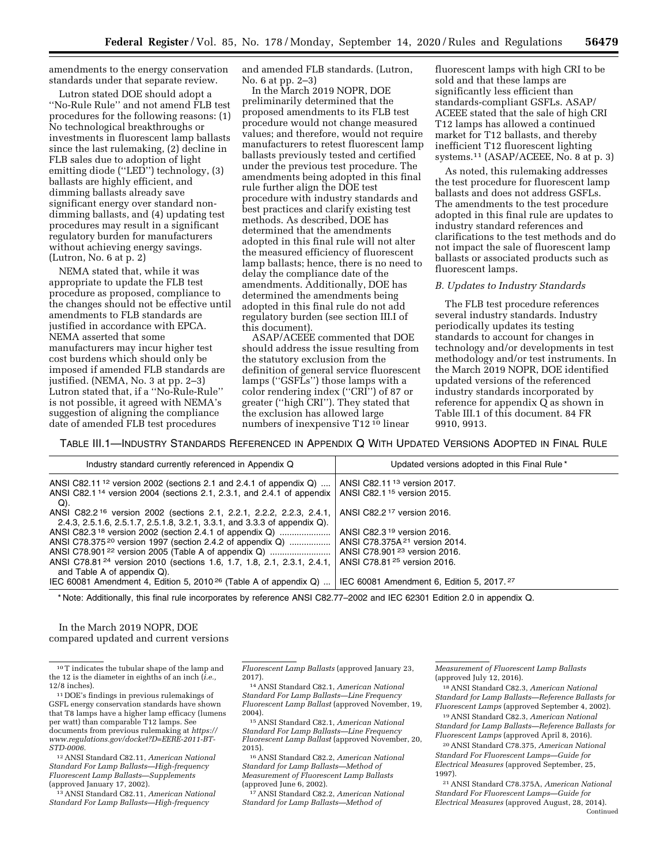amendments to the energy conservation standards under that separate review.

Lutron stated DOE should adopt a ''No-Rule Rule'' and not amend FLB test procedures for the following reasons: (1) No technological breakthroughs or investments in fluorescent lamp ballasts since the last rulemaking, (2) decline in FLB sales due to adoption of light emitting diode ("LED") technology, (3) ballasts are highly efficient, and dimming ballasts already save significant energy over standard nondimming ballasts, and (4) updating test procedures may result in a significant regulatory burden for manufacturers without achieving energy savings. (Lutron, No. 6 at p. 2)

NEMA stated that, while it was appropriate to update the FLB test procedure as proposed, compliance to the changes should not be effective until amendments to FLB standards are justified in accordance with EPCA. NEMA asserted that some manufacturers may incur higher test cost burdens which should only be imposed if amended FLB standards are justified. (NEMA, No. 3 at pp. 2–3) Lutron stated that, if a ''No-Rule-Rule'' is not possible, it agreed with NEMA's suggestion of aligning the compliance date of amended FLB test procedures

and amended FLB standards. (Lutron, No. 6 at pp. 2–3)

In the March 2019 NOPR, DOE preliminarily determined that the proposed amendments to its FLB test procedure would not change measured values; and therefore, would not require manufacturers to retest fluorescent lamp ballasts previously tested and certified under the previous test procedure. The amendments being adopted in this final rule further align the DOE test procedure with industry standards and best practices and clarify existing test methods. As described, DOE has determined that the amendments adopted in this final rule will not alter the measured efficiency of fluorescent lamp ballasts; hence, there is no need to delay the compliance date of the amendments. Additionally, DOE has determined the amendments being adopted in this final rule do not add regulatory burden (see section III.I of this document).

ASAP/ACEEE commented that DOE should address the issue resulting from the statutory exclusion from the definition of general service fluorescent lamps (''GSFLs'') those lamps with a color rendering index (''CRI'') of 87 or greater (''high CRI''). They stated that the exclusion has allowed large numbers of inexpensive T12 10 linear

fluorescent lamps with high CRI to be sold and that these lamps are significantly less efficient than standards-compliant GSFLs. ASAP/ ACEEE stated that the sale of high CRI T12 lamps has allowed a continued market for T12 ballasts, and thereby inefficient T12 fluorescent lighting systems.11 (ASAP/ACEEE, No. 8 at p. 3)

As noted, this rulemaking addresses the test procedure for fluorescent lamp ballasts and does not address GSFLs. The amendments to the test procedure adopted in this final rule are updates to industry standard references and clarifications to the test methods and do not impact the sale of fluorescent lamp ballasts or associated products such as fluorescent lamps.

#### *B. Updates to Industry Standards*

The FLB test procedure references several industry standards. Industry periodically updates its testing standards to account for changes in technology and/or developments in test methodology and/or test instruments. In the March 2019 NOPR, DOE identified updated versions of the referenced industry standards incorporated by reference for appendix Q as shown in Table III.1 of this document. 84 FR 9910, 9913.

TABLE III.1—INDUSTRY STANDARDS REFERENCED IN APPENDIX Q WITH UPDATED VERSIONS ADOPTED IN FINAL RULE

| Industry standard currently referenced in Appendix Q                                     | Updated versions adopted in this Final Rule*          |
|------------------------------------------------------------------------------------------|-------------------------------------------------------|
| ANSI C82.11 <sup>12</sup> version 2002 (sections 2.1 and 2.4.1 of appendix $Q$ )         | ANSI C82.11 <sup>13</sup> version 2017.               |
| ANSI C82.1 <sup>14</sup> version 2004 (sections 2.1, 2.3.1, and 2.4.1 of appendix<br>Q). | ANSI C82.1 <sup>15</sup> version 2015.                |
| ANSI C82.2 <sup>16</sup> version 2002 (sections 2.1, 2.2.1, 2.2.2, 2.2.3, 2.4.1,         | ANSI C82.2 <sup>17</sup> version 2016.                |
| 2.4.3, 2.5.1.6, 2.5.1.7, 2.5.1.8, 3.2.1, 3.3.1, and 3.3.3 of appendix Q).                |                                                       |
| ANSI C82.3 <sup>18</sup> version 2002 (section 2.4.1 of appendix Q)                      | ANSI C82.3 <sup>19</sup> version 2016.                |
| ANSI C78.375 <sup>20</sup> version 1997 (section 2.4.2 of appendix Q)                    | ANSI C78.375A $21$ version 2014.                      |
| ANSI C78.901 <sup>22</sup> version 2005 (Table A of appendix Q)                          | ANSI C78.901 <sup>23</sup> version 2016.              |
| ANSI C78.81 <sup>24</sup> version 2010 (sections 1.6, 1.7, 1.8, 2.1, 2.3.1, 2.4.1,       | ANSI C78.81 <sup>25</sup> version 2016.               |
| and Table A of appendix Q).                                                              |                                                       |
| IEC 60081 Amendment 4, Edition 5, 2010 <sup>26</sup> (Table A of appendix Q)             | IEC 60081 Amendment 6, Edition 5, 2017. <sup>27</sup> |

\* Note: Additionally, this final rule incorporates by reference ANSI C82.77–2002 and IEC 62301 Edition 2.0 in appendix Q.

In the March 2019 NOPR, DOE compared updated and current versions

10T indicates the tubular shape of the lamp and the 12 is the diameter in eighths of an inch (*i.e.,*  12/8 inches).

11 DOE's findings in previous rulemakings of GSFL energy conservation standards have shown that T8 lamps have a higher lamp efficacy (lumens per watt) than comparable T12 lamps. See documents from previous rulemaking at *[https://](https://www.regulations.gov/docket?D=EERE-2011-BT-STD-0006) [www.regulations.gov/docket?D=EERE-2011-BT-](https://www.regulations.gov/docket?D=EERE-2011-BT-STD-0006)[STD-0006.](https://www.regulations.gov/docket?D=EERE-2011-BT-STD-0006)* 

12ANSI Standard C82.11, *American National Standard For Lamp Ballasts—High-frequency Fluorescent Lamp Ballasts—Supplements*  (approved January 17, 2002).

13ANSI Standard C82.11, *American National Standard For Lamp Ballasts—High-frequency* 

*Fluorescent Lamp Ballasts* (approved January 23, 2017).

14ANSI Standard C82.1, *American National Standard For Lamp Ballasts—Line Frequency Fluorescent Lamp Ballast* (approved November, 19, 2004).

15ANSI Standard C82.1, *American National Standard For Lamp Ballasts—Line Frequency Fluorescent Lamp Ballast* (approved November, 20, 2015).

16ANSI Standard C82.2, *American National Standard for Lamp Ballasts—Method of Measurement of Fluorescent Lamp Ballasts*  (approved June 6, 2002).

17ANSI Standard C82.2, *American National Standard for Lamp Ballasts—Method of* 

*Measurement of Fluorescent Lamp Ballasts*  (approved July 12, 2016).

18ANSI Standard C82.3, *American National Standard for Lamp Ballasts—Reference Ballasts for Fluorescent Lamps* (approved September 4, 2002).

19ANSI Standard C82.3, *American National Standard for Lamp Ballasts—Reference Ballasts for Fluorescent Lamps* (approved April 8, 2016).

20ANSI Standard C78.375, *American National Standard For Fluorescent Lamps—Guide for Electrical Measures* (approved September, 25, 1997).

21ANSI Standard C78.375A, *American National Standard For Fluorescent Lamps—Guide for Electrical Measures* (approved August, 28, 2014). Continued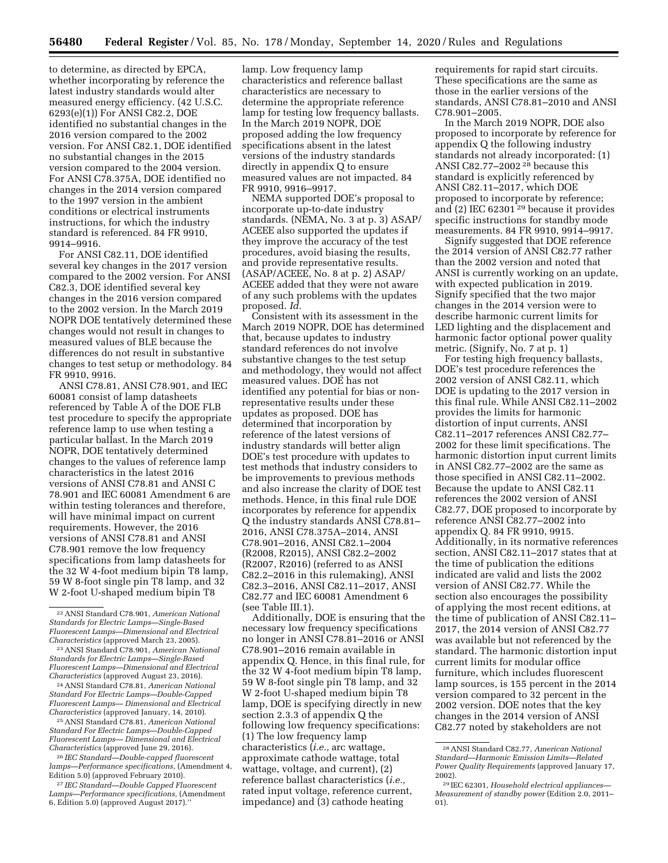to determine, as directed by EPCA, whether incorporating by reference the latest industry standards would alter measured energy efficiency. (42 U.S.C. 6293(e)(1)) For ANSI C82.2, DOE identified no substantial changes in the 2016 version compared to the 2002 version. For ANSI C82.1, DOE identified no substantial changes in the 2015 version compared to the 2004 version. For ANSI C78.375A, DOE identified no changes in the 2014 version compared to the 1997 version in the ambient conditions or electrical instruments instructions, for which the industry standard is referenced. 84 FR 9910, 9914–9916.

For ANSI C82.11, DOE identified several key changes in the 2017 version compared to the 2002 version. For ANSI C82.3, DOE identified several key changes in the 2016 version compared to the 2002 version. In the March 2019 NOPR DOE tentatively determined these changes would not result in changes to measured values of BLE because the differences do not result in substantive changes to test setup or methodology. 84 FR 9910, 9916.

ANSI C78.81, ANSI C78.901, and IEC 60081 consist of lamp datasheets referenced by Table A of the DOE FLB test procedure to specify the appropriate reference lamp to use when testing a particular ballast. In the March 2019 NOPR, DOE tentatively determined changes to the values of reference lamp characteristics in the latest 2016 versions of ANSI C78.81 and ANSI C 78.901 and IEC 60081 Amendment 6 are within testing tolerances and therefore, will have minimal impact on current requirements. However, the 2016 versions of ANSI C78.81 and ANSI C78.901 remove the low frequency specifications from lamp datasheets for the 32 W 4-foot medium bipin T8 lamp, 59 W 8-foot single pin T8 lamp, and 32 W 2-foot U-shaped medium bipin T8

24ANSI Standard C78.81, *American National Standard For Electric Lamps—Double-Capped Fluorescent Lamps— Dimensional and Electrical Characteristics* (approved January, 14, 2010).

25ANSI Standard C78.81, *American National Standard For Electric Lamps—Double-Capped Fluorescent Lamps— Dimensional and Electrical Characteristics* (approved June 29, 2016).

26 *IEC Standard—Double-capped fluorescent lamps—Performance specifications,* (Amendment 4, Edition 5.0) (approved February 2010).

27 *IEC Standard—Double Capped Fluorescent Lamps—Performance specifications,* (Amendment 6, Edition 5.0) (approved August 2017).''

lamp. Low frequency lamp characteristics and reference ballast characteristics are necessary to determine the appropriate reference lamp for testing low frequency ballasts. In the March 2019 NOPR, DOE proposed adding the low frequency specifications absent in the latest versions of the industry standards directly in appendix Q to ensure measured values are not impacted. 84 FR 9910, 9916–9917.

NEMA supported DOE's proposal to incorporate up-to-date industry standards. (NEMA, No. 3 at p. 3) ASAP/ ACEEE also supported the updates if they improve the accuracy of the test procedures, avoid biasing the results, and provide representative results. (ASAP/ACEEE, No. 8 at p. 2) ASAP/ ACEEE added that they were not aware of any such problems with the updates proposed. *Id.* 

Consistent with its assessment in the March 2019 NOPR, DOE has determined that, because updates to industry standard references do not involve substantive changes to the test setup and methodology, they would not affect measured values. DOE has not identified any potential for bias or nonrepresentative results under these updates as proposed. DOE has determined that incorporation by reference of the latest versions of industry standards will better align DOE's test procedure with updates to test methods that industry considers to be improvements to previous methods and also increase the clarity of DOE test methods. Hence, in this final rule DOE incorporates by reference for appendix Q the industry standards ANSI C78.81– 2016, ANSI C78.375A–2014, ANSI C78.901–2016, ANSI C82.1–2004 (R2008, R2015), ANSI C82.2–2002 (R2007, R2016) (referred to as ANSI C82.2–2016 in this rulemaking), ANSI C82.3–2016, ANSI C82.11–2017, ANSI C82.77 and IEC 60081 Amendment 6 (see Table III.1).

Additionally, DOE is ensuring that the necessary low frequency specifications no longer in ANSI C78.81–2016 or ANSI C78.901–2016 remain available in appendix Q. Hence, in this final rule, for the 32 W 4-foot medium bipin T8 lamp, 59 W 8-foot single pin T8 lamp, and 32 W 2-foot U-shaped medium bipin T8 lamp, DOE is specifying directly in new section 2.3.3 of appendix Q the following low frequency specifications: (1) The low frequency lamp characteristics (*i.e.,* arc wattage, approximate cathode wattage, total wattage, voltage, and current), (2) reference ballast characteristics (*i.e.,*  rated input voltage, reference current, impedance) and (3) cathode heating

requirements for rapid start circuits. These specifications are the same as those in the earlier versions of the standards, ANSI C78.81–2010 and ANSI C78.901–2005.

In the March 2019 NOPR, DOE also proposed to incorporate by reference for appendix Q the following industry standards not already incorporated: (1) ANSI C82.77–2002 28 because this standard is explicitly referenced by ANSI C82.11–2017, which DOE proposed to incorporate by reference; and (2) IEC 62301 29 because it provides specific instructions for standby mode measurements. 84 FR 9910, 9914–9917.

Signify suggested that DOE reference the 2014 version of ANSI C82.77 rather than the 2002 version and noted that ANSI is currently working on an update, with expected publication in 2019. Signify specified that the two major changes in the 2014 version were to describe harmonic current limits for LED lighting and the displacement and harmonic factor optional power quality metric. (Signify, No. 7 at p. 1)

For testing high frequency ballasts, DOE's test procedure references the 2002 version of ANSI C82.11, which DOE is updating to the 2017 version in this final rule. While ANSI C82.11–2002 provides the limits for harmonic distortion of input currents, ANSI C82.11–2017 references ANSI C82.77– 2002 for these limit specifications. The harmonic distortion input current limits in ANSI C82.77–2002 are the same as those specified in ANSI C82.11–2002. Because the update to ANSI C82.11 references the 2002 version of ANSI C82.77, DOE proposed to incorporate by reference ANSI C82.77–2002 into appendix Q. 84 FR 9910, 9915. Additionally, in its normative references section, ANSI C82.11–2017 states that at the time of publication the editions indicated are valid and lists the 2002 version of ANSI C82.77. While the section also encourages the possibility of applying the most recent editions, at the time of publication of ANSI C82.11– 2017, the 2014 version of ANSI C82.77 was available but not referenced by the standard. The harmonic distortion input current limits for modular office furniture, which includes fluorescent lamp sources, is 155 percent in the 2014 version compared to 32 percent in the 2002 version. DOE notes that the key changes in the 2014 version of ANSI C82.77 noted by stakeholders are not

<sup>22</sup>ANSI Standard C78.901, *American National Standards for Electric Lamps—Single-Based Fluorescent Lamps—Dimensional and Electrical Characteristics* (approved March 23, 2005).

<sup>23</sup>ANSI Standard C78.901, *American National Standards for Electric Lamps—Single-Based Fluorescent Lamps—Dimensional and Electrical Characteristics* (approved August 23, 2016).

<sup>28</sup>ANSI Standard C82.77, *American National Standard—Harmonic Emission Limits—Related Power Quality Requirements* (approved January 17, 2002).

<sup>29</sup> IEC 62301, *Household electrical appliances— Measurement of standby power* (Edition 2.0, 2011– 01).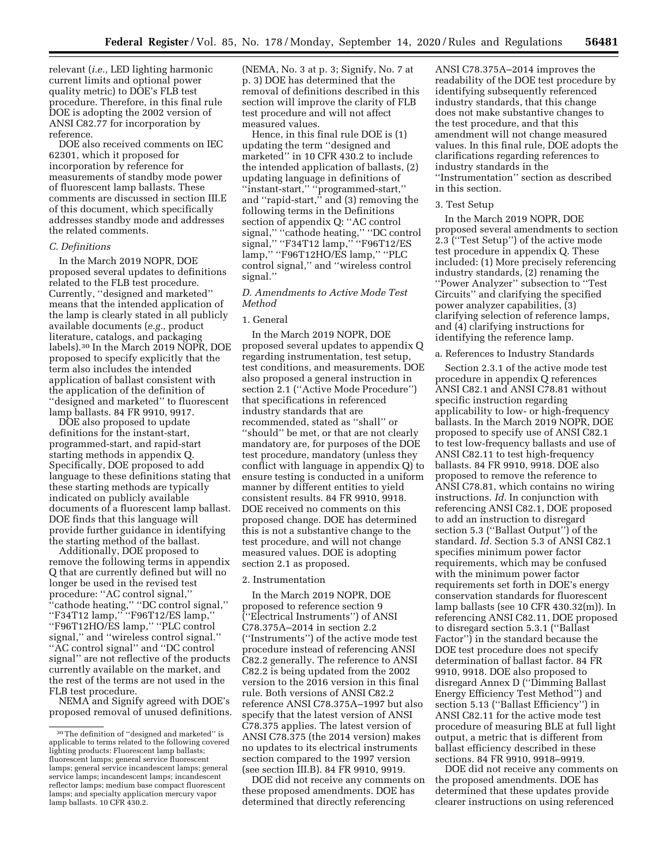relevant (*i.e.,* LED lighting harmonic current limits and optional power quality metric) to DOE's FLB test procedure. Therefore, in this final rule DOE is adopting the 2002 version of ANSI C82.77 for incorporation by reference.

DOE also received comments on IEC 62301, which it proposed for incorporation by reference for measurements of standby mode power of fluorescent lamp ballasts. These comments are discussed in section III.E of this document, which specifically addresses standby mode and addresses the related comments.

## *C. Definitions*

In the March 2019 NOPR, DOE proposed several updates to definitions related to the FLB test procedure. Currently, ''designed and marketed'' means that the intended application of the lamp is clearly stated in all publicly available documents (*e.g.,* product literature, catalogs, and packaging labels).30 In the March 2019 NOPR, DOE proposed to specify explicitly that the term also includes the intended application of ballast consistent with the application of the definition of ''designed and marketed'' to fluorescent lamp ballasts. 84 FR 9910, 9917.

DOE also proposed to update definitions for the instant-start, programmed-start, and rapid-start starting methods in appendix Q. Specifically, DOE proposed to add language to these definitions stating that these starting methods are typically indicated on publicly available documents of a fluorescent lamp ballast. DOE finds that this language will provide further guidance in identifying the starting method of the ballast.

Additionally, DOE proposed to remove the following terms in appendix Q that are currently defined but will no longer be used in the revised test procedure: ''AC control signal,'' ''cathode heating,'' ''DC control signal,'' ''F34T12 lamp,'' ''F96T12/ES lamp,'' ''F96T12HO/ES lamp,'' ''PLC control signal,'' and ''wireless control signal.'' ''AC control signal'' and ''DC control signal'' are not reflective of the products currently available on the market, and the rest of the terms are not used in the FLB test procedure.

NEMA and Signify agreed with DOE's proposed removal of unused definitions. (NEMA, No. 3 at p. 3; Signify, No. 7 at p. 3) DOE has determined that the removal of definitions described in this section will improve the clarity of FLB test procedure and will not affect measured values.

Hence, in this final rule DOE is (1) updating the term ''designed and marketed'' in 10 CFR 430.2 to include the intended application of ballasts, (2) updating language in definitions of ''instant-start,'' ''programmed-start,'' and ''rapid-start,'' and (3) removing the following terms in the Definitions section of appendix Q: "AC control signal,'' ''cathode heating,'' ''DC control signal," "F34T12 lamp," "F96T12/ES lamp," "F96T12HO/ES lamp," "PLC control signal,'' and ''wireless control signal.''

## *D. Amendments to Active Mode Test Method*

#### 1. General

In the March 2019 NOPR, DOE proposed several updates to appendix Q regarding instrumentation, test setup, test conditions, and measurements. DOE also proposed a general instruction in section 2.1 (''Active Mode Procedure'') that specifications in referenced industry standards that are recommended, stated as ''shall'' or ''should'' be met, or that are not clearly mandatory are, for purposes of the DOE test procedure, mandatory (unless they conflict with language in appendix Q) to ensure testing is conducted in a uniform manner by different entities to yield consistent results. 84 FR 9910, 9918. DOE received no comments on this proposed change. DOE has determined this is not a substantive change to the test procedure, and will not change measured values. DOE is adopting section 2.1 as proposed.

#### 2. Instrumentation

In the March 2019 NOPR, DOE proposed to reference section 9 (''Electrical Instruments'') of ANSI C78.375A–2014 in section 2.2 (''Instruments'') of the active mode test procedure instead of referencing ANSI C82.2 generally. The reference to ANSI C82.2 is being updated from the 2002 version to the 2016 version in this final rule. Both versions of ANSI C82.2 reference ANSI C78.375A–1997 but also specify that the latest version of ANSI C78.375 applies. The latest version of ANSI C78.375 (the 2014 version) makes no updates to its electrical instruments section compared to the 1997 version (see section III.B). 84 FR 9910, 9919.

DOE did not receive any comments on these proposed amendments. DOE has determined that directly referencing

ANSI C78.375A–2014 improves the readability of the DOE test procedure by identifying subsequently referenced industry standards, that this change does not make substantive changes to the test procedure, and that this amendment will not change measured values. In this final rule, DOE adopts the clarifications regarding references to industry standards in the ''Instrumentation'' section as described in this section.

#### 3. Test Setup

In the March 2019 NOPR, DOE proposed several amendments to section 2.3 (''Test Setup'') of the active mode test procedure in appendix Q. These included: (1) More precisely referencing industry standards, (2) renaming the ''Power Analyzer'' subsection to ''Test Circuits'' and clarifying the specified power analyzer capabilities, (3) clarifying selection of reference lamps, and (4) clarifying instructions for identifying the reference lamp.

#### a. References to Industry Standards

Section 2.3.1 of the active mode test procedure in appendix Q references ANSI C82.1 and ANSI C78.81 without specific instruction regarding applicability to low- or high-frequency ballasts. In the March 2019 NOPR, DOE proposed to specify use of ANSI C82.1 to test low-frequency ballasts and use of ANSI C82.11 to test high-frequency ballasts. 84 FR 9910, 9918. DOE also proposed to remove the reference to ANSI C78.81, which contains no wiring instructions. *Id.* In conjunction with referencing ANSI C82.1, DOE proposed to add an instruction to disregard section 5.3 (''Ballast Output'') of the standard. *Id.* Section 5.3 of ANSI C82.1 specifies minimum power factor requirements, which may be confused with the minimum power factor requirements set forth in DOE's energy conservation standards for fluorescent lamp ballasts (see 10 CFR 430.32(m)). In referencing ANSI C82.11, DOE proposed to disregard section 5.3.1 (''Ballast Factor'') in the standard because the DOE test procedure does not specify determination of ballast factor. 84 FR 9910, 9918. DOE also proposed to disregard Annex D (''Dimming Ballast Energy Efficiency Test Method'') and section 5.13 (''Ballast Efficiency'') in ANSI C82.11 for the active mode test procedure of measuring BLE at full light output, a metric that is different from ballast efficiency described in these sections. 84 FR 9910, 9918–9919.

DOE did not receive any comments on the proposed amendments. DOE has determined that these updates provide clearer instructions on using referenced

<sup>30</sup>The definition of ''designed and marketed'' is applicable to terms related to the following covered lighting products: Fluorescent lamp ballasts; fluorescent lamps; general service fluorescent lamps; general service incandescent lamps; general service lamps; incandescent lamps; incandescent reflector lamps; medium base compact fluorescent lamps; and specialty application mercury vapor lamp ballasts. 10 CFR 430.2.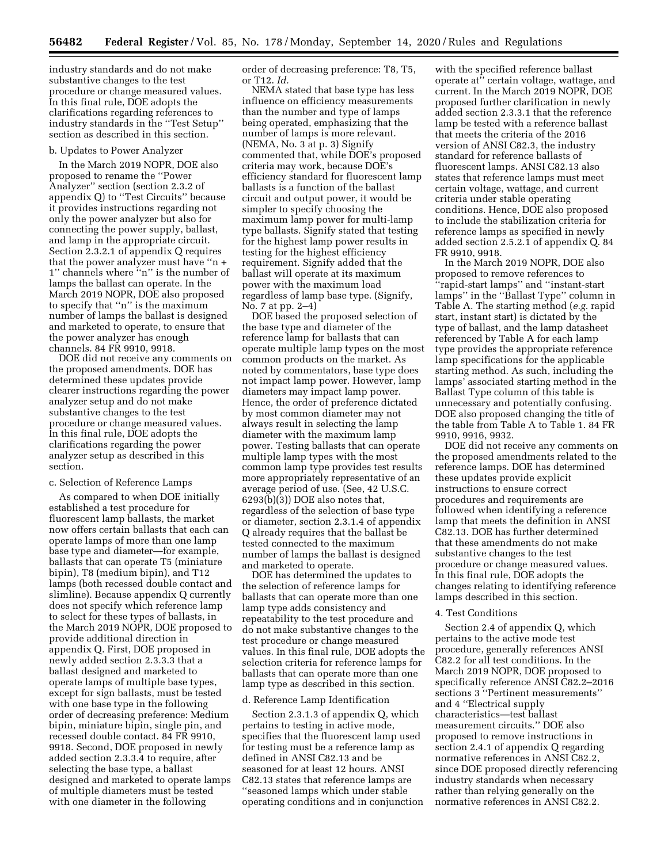industry standards and do not make substantive changes to the test procedure or change measured values. In this final rule, DOE adopts the clarifications regarding references to industry standards in the ''Test Setup'' section as described in this section.

#### b. Updates to Power Analyzer

In the March 2019 NOPR, DOE also proposed to rename the ''Power Analyzer'' section (section 2.3.2 of appendix Q) to ''Test Circuits'' because it provides instructions regarding not only the power analyzer but also for connecting the power supply, ballast, and lamp in the appropriate circuit. Section 2.3.2.1 of appendix Q requires that the power analyzer must have ''n + 1'' channels where ''n'' is the number of lamps the ballast can operate. In the March 2019 NOPR, DOE also proposed to specify that ''n'' is the maximum number of lamps the ballast is designed and marketed to operate, to ensure that the power analyzer has enough channels. 84 FR 9910, 9918.

DOE did not receive any comments on the proposed amendments. DOE has determined these updates provide clearer instructions regarding the power analyzer setup and do not make substantive changes to the test procedure or change measured values. In this final rule, DOE adopts the clarifications regarding the power analyzer setup as described in this section.

#### c. Selection of Reference Lamps

As compared to when DOE initially established a test procedure for fluorescent lamp ballasts, the market now offers certain ballasts that each can operate lamps of more than one lamp base type and diameter—for example, ballasts that can operate T5 (miniature bipin), T8 (medium bipin), and T12 lamps (both recessed double contact and slimline). Because appendix Q currently does not specify which reference lamp to select for these types of ballasts, in the March 2019 NOPR, DOE proposed to provide additional direction in appendix Q. First, DOE proposed in newly added section 2.3.3.3 that a ballast designed and marketed to operate lamps of multiple base types, except for sign ballasts, must be tested with one base type in the following order of decreasing preference: Medium bipin, miniature bipin, single pin, and recessed double contact. 84 FR 9910, 9918. Second, DOE proposed in newly added section 2.3.3.4 to require, after selecting the base type, a ballast designed and marketed to operate lamps of multiple diameters must be tested with one diameter in the following

order of decreasing preference: T8, T5, or T12. *Id.* 

NEMA stated that base type has less influence on efficiency measurements than the number and type of lamps being operated, emphasizing that the number of lamps is more relevant. (NEMA, No. 3 at p. 3) Signify commented that, while DOE's proposed criteria may work, because DOE's efficiency standard for fluorescent lamp ballasts is a function of the ballast circuit and output power, it would be simpler to specify choosing the maximum lamp power for multi-lamp type ballasts. Signify stated that testing for the highest lamp power results in testing for the highest efficiency requirement. Signify added that the ballast will operate at its maximum power with the maximum load regardless of lamp base type. (Signify, No. 7 at pp. 2–4)

DOE based the proposed selection of the base type and diameter of the reference lamp for ballasts that can operate multiple lamp types on the most common products on the market. As noted by commentators, base type does not impact lamp power. However, lamp diameters may impact lamp power. Hence, the order of preference dictated by most common diameter may not always result in selecting the lamp diameter with the maximum lamp power. Testing ballasts that can operate multiple lamp types with the most common lamp type provides test results more appropriately representative of an average period of use. (See, 42 U.S.C. 6293(b)(3)) DOE also notes that, regardless of the selection of base type or diameter, section 2.3.1.4 of appendix Q already requires that the ballast be tested connected to the maximum number of lamps the ballast is designed and marketed to operate.

DOE has determined the updates to the selection of reference lamps for ballasts that can operate more than one lamp type adds consistency and repeatability to the test procedure and do not make substantive changes to the test procedure or change measured values. In this final rule, DOE adopts the selection criteria for reference lamps for ballasts that can operate more than one lamp type as described in this section.

## d. Reference Lamp Identification

Section 2.3.1.3 of appendix Q, which pertains to testing in active mode, specifies that the fluorescent lamp used for testing must be a reference lamp as defined in ANSI C82.13 and be seasoned for at least 12 hours. ANSI C82.13 states that reference lamps are ''seasoned lamps which under stable operating conditions and in conjunction with the specified reference ballast operate at'' certain voltage, wattage, and current. In the March 2019 NOPR, DOE proposed further clarification in newly added section 2.3.3.1 that the reference lamp be tested with a reference ballast that meets the criteria of the 2016 version of ANSI C82.3, the industry standard for reference ballasts of fluorescent lamps. ANSI C82.13 also states that reference lamps must meet certain voltage, wattage, and current criteria under stable operating conditions. Hence, DOE also proposed to include the stabilization criteria for reference lamps as specified in newly added section 2.5.2.1 of appendix Q. 84 FR 9910, 9918.

In the March 2019 NOPR, DOE also proposed to remove references to ''rapid-start lamps'' and ''instant-start lamps'' in the ''Ballast Type'' column in Table A. The starting method (*e.g.* rapid start, instant start) is dictated by the type of ballast, and the lamp datasheet referenced by Table A for each lamp type provides the appropriate reference lamp specifications for the applicable starting method. As such, including the lamps' associated starting method in the Ballast Type column of this table is unnecessary and potentially confusing. DOE also proposed changing the title of the table from Table A to Table 1. 84 FR 9910, 9916, 9932.

DOE did not receive any comments on the proposed amendments related to the reference lamps. DOE has determined these updates provide explicit instructions to ensure correct procedures and requirements are followed when identifying a reference lamp that meets the definition in ANSI C82.13. DOE has further determined that these amendments do not make substantive changes to the test procedure or change measured values. In this final rule, DOE adopts the changes relating to identifying reference lamps described in this section.

#### 4. Test Conditions

Section 2.4 of appendix Q, which pertains to the active mode test procedure, generally references ANSI C82.2 for all test conditions. In the March 2019 NOPR, DOE proposed to specifically reference ANSI C82.2–2016 sections 3 ''Pertinent measurements'' and 4 ''Electrical supply characteristics—test ballast measurement circuits.'' DOE also proposed to remove instructions in section 2.4.1 of appendix Q regarding normative references in ANSI C82.2, since DOE proposed directly referencing industry standards when necessary rather than relying generally on the normative references in ANSI C82.2.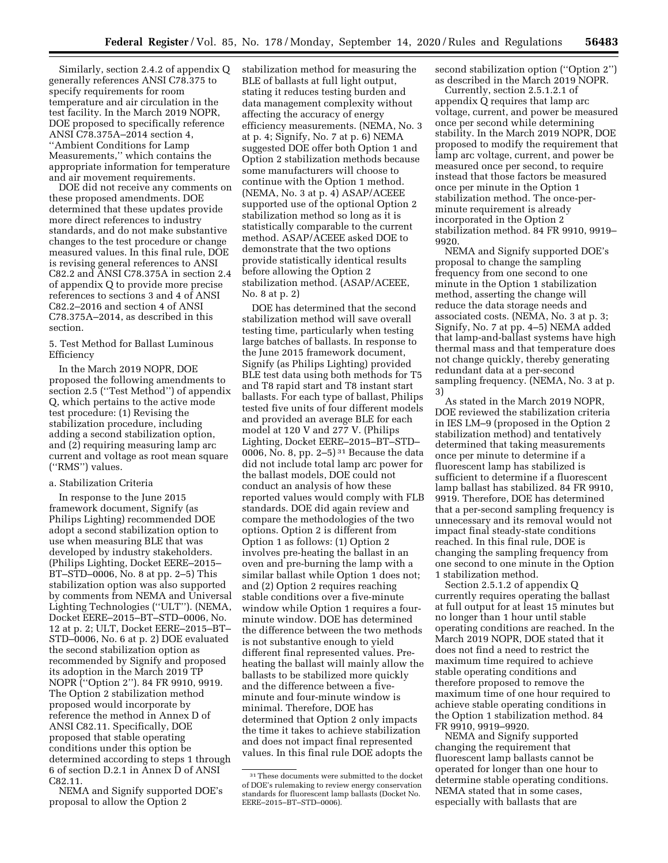Similarly, section 2.4.2 of appendix Q generally references ANSI C78.375 to specify requirements for room temperature and air circulation in the test facility. In the March 2019 NOPR, DOE proposed to specifically reference ANSI C78.375A–2014 section 4, ''Ambient Conditions for Lamp Measurements,'' which contains the appropriate information for temperature and air movement requirements.

DOE did not receive any comments on these proposed amendments. DOE determined that these updates provide more direct references to industry standards, and do not make substantive changes to the test procedure or change measured values. In this final rule, DOE is revising general references to ANSI C82.2 and ANSI C78.375A in section 2.4 of appendix Q to provide more precise references to sections 3 and 4 of ANSI C82.2–2016 and section 4 of ANSI C78.375A–2014, as described in this section.

## 5. Test Method for Ballast Luminous Efficiency

In the March 2019 NOPR, DOE proposed the following amendments to section 2.5 (''Test Method'') of appendix Q, which pertains to the active mode test procedure: (1) Revising the stabilization procedure, including adding a second stabilization option, and (2) requiring measuring lamp arc current and voltage as root mean square (''RMS'') values.

#### a. Stabilization Criteria

In response to the June 2015 framework document, Signify (as Philips Lighting) recommended DOE adopt a second stabilization option to use when measuring BLE that was developed by industry stakeholders. (Philips Lighting, Docket EERE–2015– BT–STD–0006, No. 8 at pp. 2–5) This stabilization option was also supported by comments from NEMA and Universal Lighting Technologies (''ULT''). (NEMA, Docket EERE–2015–BT–STD–0006, No. 12 at p. 2; ULT, Docket EERE–2015–BT– STD–0006, No. 6 at p. 2) DOE evaluated the second stabilization option as recommended by Signify and proposed its adoption in the March 2019 TP NOPR (''Option 2''). 84 FR 9910, 9919. The Option 2 stabilization method proposed would incorporate by reference the method in Annex D of ANSI C82.11. Specifically, DOE proposed that stable operating conditions under this option be determined according to steps 1 through 6 of section D.2.1 in Annex D of ANSI C82.11.

NEMA and Signify supported DOE's proposal to allow the Option 2

stabilization method for measuring the BLE of ballasts at full light output, stating it reduces testing burden and data management complexity without affecting the accuracy of energy efficiency measurements. (NEMA, No. 3 at p. 4; Signify, No. 7 at p. 6) NEMA suggested DOE offer both Option 1 and Option 2 stabilization methods because some manufacturers will choose to continue with the Option 1 method. (NEMA, No. 3 at p. 4) ASAP/ACEEE supported use of the optional Option 2 stabilization method so long as it is statistically comparable to the current method. ASAP/ACEEE asked DOE to demonstrate that the two options provide statistically identical results before allowing the Option 2 stabilization method. (ASAP/ACEEE, No. 8 at p. 2)

DOE has determined that the second stabilization method will save overall testing time, particularly when testing large batches of ballasts. In response to the June 2015 framework document, Signify (as Philips Lighting) provided BLE test data using both methods for T5 and T8 rapid start and T8 instant start ballasts. For each type of ballast, Philips tested five units of four different models and provided an average BLE for each model at 120 V and 277 V. (Philips Lighting, Docket EERE–2015–BT–STD– 0006, No. 8, pp. 2–5)<sup>31</sup> Because the data did not include total lamp arc power for the ballast models, DOE could not conduct an analysis of how these reported values would comply with FLB standards. DOE did again review and compare the methodologies of the two options. Option 2 is different from Option 1 as follows: (1) Option 2 involves pre-heating the ballast in an oven and pre-burning the lamp with a similar ballast while Option 1 does not; and (2) Option 2 requires reaching stable conditions over a five-minute window while Option 1 requires a fourminute window. DOE has determined the difference between the two methods is not substantive enough to yield different final represented values. Preheating the ballast will mainly allow the ballasts to be stabilized more quickly and the difference between a fiveminute and four-minute window is minimal. Therefore, DOE has determined that Option 2 only impacts the time it takes to achieve stabilization and does not impact final represented values. In this final rule DOE adopts the

second stabilization option (''Option 2'') as described in the March 2019 NOPR.

Currently, section 2.5.1.2.1 of appendix Q requires that lamp arc voltage, current, and power be measured once per second while determining stability. In the March 2019 NOPR, DOE proposed to modify the requirement that lamp arc voltage, current, and power be measured once per second, to require instead that those factors be measured once per minute in the Option 1 stabilization method. The once-perminute requirement is already incorporated in the Option 2 stabilization method. 84 FR 9910, 9919– 9920.

NEMA and Signify supported DOE's proposal to change the sampling frequency from one second to one minute in the Option 1 stabilization method, asserting the change will reduce the data storage needs and associated costs. (NEMA, No. 3 at p. 3; Signify, No. 7 at pp. 4–5) NEMA added that lamp-and-ballast systems have high thermal mass and that temperature does not change quickly, thereby generating redundant data at a per-second sampling frequency. (NEMA, No. 3 at p. 3)

As stated in the March 2019 NOPR, DOE reviewed the stabilization criteria in IES LM–9 (proposed in the Option 2 stabilization method) and tentatively determined that taking measurements once per minute to determine if a fluorescent lamp has stabilized is sufficient to determine if a fluorescent lamp ballast has stabilized. 84 FR 9910, 9919. Therefore, DOE has determined that a per-second sampling frequency is unnecessary and its removal would not impact final steady-state conditions reached. In this final rule, DOE is changing the sampling frequency from one second to one minute in the Option 1 stabilization method.

Section 2.5.1.2 of appendix Q currently requires operating the ballast at full output for at least 15 minutes but no longer than 1 hour until stable operating conditions are reached. In the March 2019 NOPR, DOE stated that it does not find a need to restrict the maximum time required to achieve stable operating conditions and therefore proposed to remove the maximum time of one hour required to achieve stable operating conditions in the Option 1 stabilization method. 84 FR 9910, 9919–9920.

NEMA and Signify supported changing the requirement that fluorescent lamp ballasts cannot be operated for longer than one hour to determine stable operating conditions. NEMA stated that in some cases, especially with ballasts that are

<sup>31</sup>These documents were submitted to the docket of DOE's rulemaking to review energy conservation standards for fluorescent lamp ballasts (Docket No. EERE–2015–BT–STD–0006).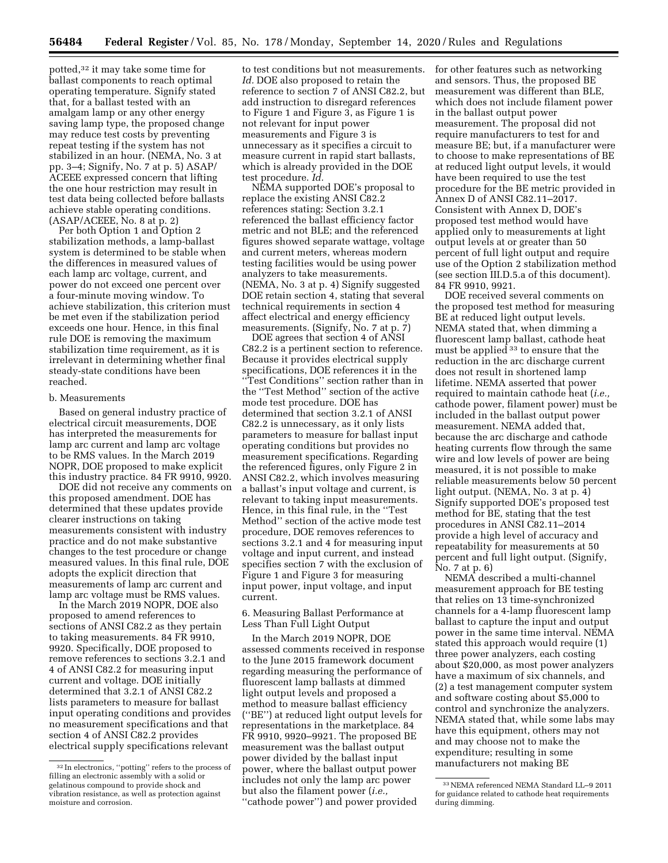potted,32 it may take some time for ballast components to reach optimal operating temperature. Signify stated that, for a ballast tested with an amalgam lamp or any other energy saving lamp type, the proposed change may reduce test costs by preventing repeat testing if the system has not stabilized in an hour. (NEMA, No. 3 at pp. 3–4; Signify, No. 7 at p. 5) ASAP/ ACEEE expressed concern that lifting the one hour restriction may result in test data being collected before ballasts achieve stable operating conditions. (ASAP/ACEEE, No. 8 at p. 2)

Per both Option 1 and Option 2 stabilization methods, a lamp-ballast system is determined to be stable when the differences in measured values of each lamp arc voltage, current, and power do not exceed one percent over a four-minute moving window. To achieve stabilization, this criterion must be met even if the stabilization period exceeds one hour. Hence, in this final rule DOE is removing the maximum stabilization time requirement, as it is irrelevant in determining whether final steady-state conditions have been reached.

#### b. Measurements

Based on general industry practice of electrical circuit measurements, DOE has interpreted the measurements for lamp arc current and lamp arc voltage to be RMS values. In the March 2019 NOPR, DOE proposed to make explicit this industry practice. 84 FR 9910, 9920.

DOE did not receive any comments on this proposed amendment. DOE has determined that these updates provide clearer instructions on taking measurements consistent with industry practice and do not make substantive changes to the test procedure or change measured values. In this final rule, DOE adopts the explicit direction that measurements of lamp arc current and lamp arc voltage must be RMS values.

In the March 2019 NOPR, DOE also proposed to amend references to sections of ANSI C82.2 as they pertain to taking measurements. 84 FR 9910, 9920. Specifically, DOE proposed to remove references to sections 3.2.1 and 4 of ANSI C82.2 for measuring input current and voltage. DOE initially determined that 3.2.1 of ANSI C82.2 lists parameters to measure for ballast input operating conditions and provides no measurement specifications and that section 4 of ANSI C82.2 provides electrical supply specifications relevant

to test conditions but not measurements. *Id.* DOE also proposed to retain the reference to section 7 of ANSI C82.2, but add instruction to disregard references to Figure 1 and Figure 3, as Figure 1 is not relevant for input power measurements and Figure 3 is unnecessary as it specifies a circuit to measure current in rapid start ballasts, which is already provided in the DOE test procedure. *Id.* 

NEMA supported DOE's proposal to replace the existing ANSI C82.2 references stating: Section 3.2.1 referenced the ballast efficiency factor metric and not BLE; and the referenced figures showed separate wattage, voltage and current meters, whereas modern testing facilities would be using power analyzers to take measurements. (NEMA, No. 3 at p. 4) Signify suggested DOE retain section 4, stating that several technical requirements in section 4 affect electrical and energy efficiency measurements. (Signify, No. 7 at p. 7)

DOE agrees that section 4 of ANSI C82.2 is a pertinent section to reference. Because it provides electrical supply specifications, DOE references it in the ''Test Conditions'' section rather than in the ''Test Method'' section of the active mode test procedure. DOE has determined that section 3.2.1 of ANSI C82.2 is unnecessary, as it only lists parameters to measure for ballast input operating conditions but provides no measurement specifications. Regarding the referenced figures, only Figure 2 in ANSI C82.2, which involves measuring a ballast's input voltage and current, is relevant to taking input measurements. Hence, in this final rule, in the ''Test Method'' section of the active mode test procedure, DOE removes references to sections 3.2.1 and 4 for measuring input voltage and input current, and instead specifies section 7 with the exclusion of Figure 1 and Figure 3 for measuring input power, input voltage, and input current.

6. Measuring Ballast Performance at Less Than Full Light Output

In the March 2019 NOPR, DOE assessed comments received in response to the June 2015 framework document regarding measuring the performance of fluorescent lamp ballasts at dimmed light output levels and proposed a method to measure ballast efficiency (''BE'') at reduced light output levels for representations in the marketplace. 84 FR 9910, 9920–9921. The proposed BE measurement was the ballast output power divided by the ballast input power, where the ballast output power includes not only the lamp arc power but also the filament power (*i.e.,*  ''cathode power'') and power provided

for other features such as networking and sensors. Thus, the proposed BE measurement was different than BLE, which does not include filament power in the ballast output power measurement. The proposal did not require manufacturers to test for and measure BE; but, if a manufacturer were to choose to make representations of BE at reduced light output levels, it would have been required to use the test procedure for the BE metric provided in Annex D of ANSI C82.11–2017. Consistent with Annex D, DOE's proposed test method would have applied only to measurements at light output levels at or greater than 50 percent of full light output and require use of the Option 2 stabilization method (see section III.D.5.a of this document). 84 FR 9910, 9921.

DOE received several comments on the proposed test method for measuring BE at reduced light output levels. NEMA stated that, when dimming a fluorescent lamp ballast, cathode heat must be applied 33 to ensure that the reduction in the arc discharge current does not result in shortened lamp lifetime. NEMA asserted that power required to maintain cathode heat (*i.e.,*  cathode power, filament power) must be included in the ballast output power measurement. NEMA added that, because the arc discharge and cathode heating currents flow through the same wire and low levels of power are being measured, it is not possible to make reliable measurements below 50 percent light output. (NEMA, No. 3 at p. 4) Signify supported DOE's proposed test method for BE, stating that the test procedures in ANSI C82.11–2014 provide a high level of accuracy and repeatability for measurements at 50 percent and full light output. (Signify, No. 7 at p. 6)

NEMA described a multi-channel measurement approach for BE testing that relies on 13 time-synchronized channels for a 4-lamp fluorescent lamp ballast to capture the input and output power in the same time interval. NEMA stated this approach would require (1) three power analyzers, each costing about \$20,000, as most power analyzers have a maximum of six channels, and (2) a test management computer system and software costing about \$5,000 to control and synchronize the analyzers. NEMA stated that, while some labs may have this equipment, others may not and may choose not to make the expenditure; resulting in some manufacturers not making BE

<sup>32</sup> In electronics, ''potting'' refers to the process of filling an electronic assembly with a solid or gelatinous compound to provide shock and vibration resistance, as well as protection against moisture and corrosion.

<sup>33</sup>NEMA referenced NEMA Standard LL–9 2011 for guidance related to cathode heat requirements during dimming.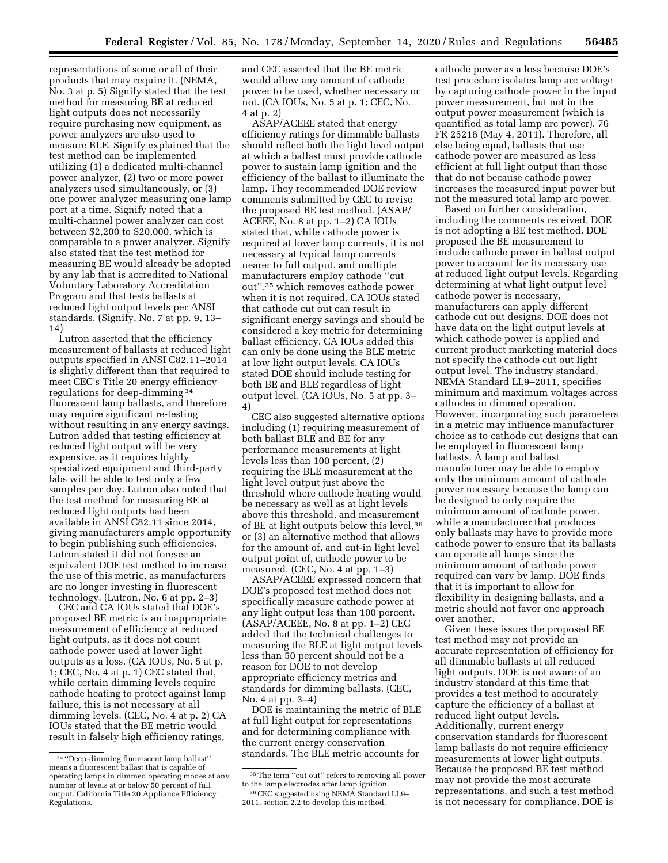representations of some or all of their products that may require it. (NEMA, No. 3 at p. 5) Signify stated that the test method for measuring BE at reduced light outputs does not necessarily require purchasing new equipment, as power analyzers are also used to measure BLE. Signify explained that the test method can be implemented utilizing (1) a dedicated multi-channel power analyzer, (2) two or more power analyzers used simultaneously, or (3) one power analyzer measuring one lamp port at a time. Signify noted that a multi-channel power analyzer can cost between \$2,200 to \$20,000, which is comparable to a power analyzer. Signify also stated that the test method for measuring BE would already be adopted by any lab that is accredited to National Voluntary Laboratory Accreditation Program and that tests ballasts at reduced light output levels per ANSI standards. (Signify, No. 7 at pp. 9, 13– 14)

Lutron asserted that the efficiency measurement of ballasts at reduced light outputs specified in ANSI C82.11–2014 is slightly different than that required to meet CEC's Title 20 energy efficiency regulations for deep-dimming 34 fluorescent lamp ballasts, and therefore may require significant re-testing without resulting in any energy savings. Lutron added that testing efficiency at reduced light output will be very expensive, as it requires highly specialized equipment and third-party labs will be able to test only a few samples per day. Lutron also noted that the test method for measuring BE at reduced light outputs had been available in ANSI C82.11 since 2014, giving manufacturers ample opportunity to begin publishing such efficiencies. Lutron stated it did not foresee an equivalent DOE test method to increase the use of this metric, as manufacturers are no longer investing in fluorescent technology. (Lutron, No. 6 at pp. 2–3)

CEC and CA IOUs stated that DOE's proposed BE metric is an inappropriate measurement of efficiency at reduced light outputs, as it does not count cathode power used at lower light outputs as a loss. (CA IOUs, No. 5 at p. 1; CEC, No. 4 at p. 1) CEC stated that, while certain dimming levels require cathode heating to protect against lamp failure, this is not necessary at all dimming levels. (CEC, No. 4 at p. 2) CA IOUs stated that the BE metric would result in falsely high efficiency ratings,

and CEC asserted that the BE metric would allow any amount of cathode power to be used, whether necessary or not. (CA IOUs, No. 5 at p. 1; CEC, No. 4 at p. 2)

ASAP/ACEEE stated that energy efficiency ratings for dimmable ballasts should reflect both the light level output at which a ballast must provide cathode power to sustain lamp ignition and the efficiency of the ballast to illuminate the lamp. They recommended DOE review comments submitted by CEC to revise the proposed BE test method. (ASAP/ ACEEE, No. 8 at pp. 1–2) CA IOUs stated that, while cathode power is required at lower lamp currents, it is not necessary at typical lamp currents nearer to full output, and multiple manufacturers employ cathode ''cut out'',35 which removes cathode power when it is not required. CA IOUs stated that cathode cut out can result in significant energy savings and should be considered a key metric for determining ballast efficiency. CA IOUs added this can only be done using the BLE metric at low light output levels. CA IOUs stated DOE should include testing for both BE and BLE regardless of light output level. (CA IOUs, No. 5 at pp. 3– 4)

CEC also suggested alternative options including (1) requiring measurement of both ballast BLE and BE for any performance measurements at light levels less than 100 percent, (2) requiring the BLE measurement at the light level output just above the threshold where cathode heating would be necessary as well as at light levels above this threshold, and measurement of BE at light outputs below this level, 36 or (3) an alternative method that allows for the amount of, and cut-in light level output point of, cathode power to be measured. (CEC, No. 4 at pp. 1–3)

ASAP/ACEEE expressed concern that DOE's proposed test method does not specifically measure cathode power at any light output less than 100 percent. (ASAP/ACEEE, No. 8 at pp. 1–2) CEC added that the technical challenges to measuring the BLE at light output levels less than 50 percent should not be a reason for DOE to not develop appropriate efficiency metrics and standards for dimming ballasts. (CEC, No. 4 at pp. 3–4)

DOE is maintaining the metric of BLE at full light output for representations and for determining compliance with the current energy conservation standards. The BLE metric accounts for

cathode power as a loss because DOE's test procedure isolates lamp arc voltage by capturing cathode power in the input power measurement, but not in the output power measurement (which is quantified as total lamp arc power). 76 FR 25216 (May 4, 2011). Therefore, all else being equal, ballasts that use cathode power are measured as less efficient at full light output than those that do not because cathode power increases the measured input power but not the measured total lamp arc power.

Based on further consideration, including the comments received, DOE is not adopting a BE test method. DOE proposed the BE measurement to include cathode power in ballast output power to account for its necessary use at reduced light output levels. Regarding determining at what light output level cathode power is necessary, manufacturers can apply different cathode cut out designs. DOE does not have data on the light output levels at which cathode power is applied and current product marketing material does not specify the cathode cut out light output level. The industry standard, NEMA Standard LL9–2011, specifies minimum and maximum voltages across cathodes in dimmed operation. However, incorporating such parameters in a metric may influence manufacturer choice as to cathode cut designs that can be employed in fluorescent lamp ballasts. A lamp and ballast manufacturer may be able to employ only the minimum amount of cathode power necessary because the lamp can be designed to only require the minimum amount of cathode power, while a manufacturer that produces only ballasts may have to provide more cathode power to ensure that its ballasts can operate all lamps since the minimum amount of cathode power required can vary by lamp. DOE finds that it is important to allow for flexibility in designing ballasts, and a metric should not favor one approach over another.

Given these issues the proposed BE test method may not provide an accurate representation of efficiency for all dimmable ballasts at all reduced light outputs. DOE is not aware of an industry standard at this time that provides a test method to accurately capture the efficiency of a ballast at reduced light output levels. Additionally, current energy conservation standards for fluorescent lamp ballasts do not require efficiency measurements at lower light outputs. Because the proposed BE test method may not provide the most accurate representations, and such a test method is not necessary for compliance, DOE is

<sup>34</sup> ''Deep-dimming fluorescent lamp ballast'' means a fluorescent ballast that is capable of operating lamps in dimmed operating modes at any number of levels at or below 50 percent of full output. California Title 20 Appliance Efficiency Regulations.

<sup>35</sup>The term ''cut out'' refers to removing all power to the lamp electrodes after lamp ignition.

<sup>36</sup>CEC suggested using NEMA Standard LL9– 2011, section 2.2 to develop this method.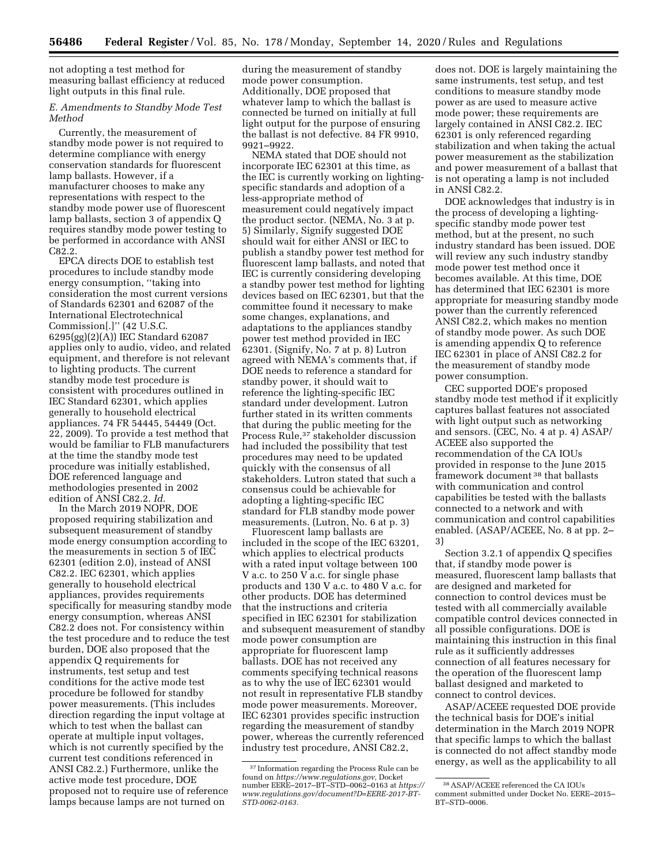not adopting a test method for measuring ballast efficiency at reduced light outputs in this final rule.

# *E. Amendments to Standby Mode Test Method*

Currently, the measurement of standby mode power is not required to determine compliance with energy conservation standards for fluorescent lamp ballasts. However, if a manufacturer chooses to make any representations with respect to the standby mode power use of fluorescent lamp ballasts, section 3 of appendix Q requires standby mode power testing to be performed in accordance with ANSI C82.2.

EPCA directs DOE to establish test procedures to include standby mode energy consumption, ''taking into consideration the most current versions of Standards 62301 and 62087 of the International Electrotechnical Commission[.]'' (42 U.S.C. 6295(gg)(2)(A)) IEC Standard 62087 applies only to audio, video, and related equipment, and therefore is not relevant to lighting products. The current standby mode test procedure is consistent with procedures outlined in IEC Standard 62301, which applies generally to household electrical appliances. 74 FR 54445, 54449 (Oct. 22, 2009). To provide a test method that would be familiar to FLB manufacturers at the time the standby mode test procedure was initially established, DOE referenced language and methodologies presented in 2002 edition of ANSI C82.2. *Id.* 

In the March 2019 NOPR, DOE proposed requiring stabilization and subsequent measurement of standby mode energy consumption according to the measurements in section 5 of IEC 62301 (edition 2.0), instead of ANSI C82.2. IEC 62301, which applies generally to household electrical appliances, provides requirements specifically for measuring standby mode energy consumption, whereas ANSI C82.2 does not. For consistency within the test procedure and to reduce the test burden, DOE also proposed that the appendix Q requirements for instruments, test setup and test conditions for the active mode test procedure be followed for standby power measurements. (This includes direction regarding the input voltage at which to test when the ballast can operate at multiple input voltages, which is not currently specified by the current test conditions referenced in ANSI C82.2.) Furthermore, unlike the active mode test procedure, DOE proposed not to require use of reference lamps because lamps are not turned on

during the measurement of standby mode power consumption. Additionally, DOE proposed that whatever lamp to which the ballast is connected be turned on initially at full light output for the purpose of ensuring the ballast is not defective. 84 FR 9910, 9921–9922.

NEMA stated that DOE should not incorporate IEC 62301 at this time, as the IEC is currently working on lightingspecific standards and adoption of a less-appropriate method of measurement could negatively impact the product sector. (NEMA, No. 3 at p. 5) Similarly, Signify suggested DOE should wait for either ANSI or IEC to publish a standby power test method for fluorescent lamp ballasts, and noted that IEC is currently considering developing a standby power test method for lighting devices based on IEC 62301, but that the committee found it necessary to make some changes, explanations, and adaptations to the appliances standby power test method provided in IEC 62301. (Signify, No. 7 at p. 8) Lutron agreed with NEMA's comments that, if DOE needs to reference a standard for standby power, it should wait to reference the lighting-specific IEC standard under development. Lutron further stated in its written comments that during the public meeting for the Process Rule,37 stakeholder discussion had included the possibility that test procedures may need to be updated quickly with the consensus of all stakeholders. Lutron stated that such a consensus could be achievable for adopting a lighting-specific IEC standard for FLB standby mode power measurements. (Lutron, No. 6 at p. 3)

Fluorescent lamp ballasts are included in the scope of the IEC 63201, which applies to electrical products with a rated input voltage between 100 V a.c. to 250 V a.c. for single phase products and 130 V a.c. to 480 V a.c. for other products. DOE has determined that the instructions and criteria specified in IEC 62301 for stabilization and subsequent measurement of standby mode power consumption are appropriate for fluorescent lamp ballasts. DOE has not received any comments specifying technical reasons as to why the use of IEC 62301 would not result in representative FLB standby mode power measurements. Moreover, IEC 62301 provides specific instruction regarding the measurement of standby power, whereas the currently referenced industry test procedure, ANSI C82.2,

does not. DOE is largely maintaining the same instruments, test setup, and test conditions to measure standby mode power as are used to measure active mode power; these requirements are largely contained in ANSI C82.2. IEC 62301 is only referenced regarding stabilization and when taking the actual power measurement as the stabilization and power measurement of a ballast that is not operating a lamp is not included in ANSI C82.2.

DOE acknowledges that industry is in the process of developing a lightingspecific standby mode power test method, but at the present, no such industry standard has been issued. DOE will review any such industry standby mode power test method once it becomes available. At this time, DOE has determined that IEC 62301 is more appropriate for measuring standby mode power than the currently referenced ANSI C82.2, which makes no mention of standby mode power. As such DOE is amending appendix Q to reference IEC 62301 in place of ANSI C82.2 for the measurement of standby mode power consumption.

CEC supported DOE's proposed standby mode test method if it explicitly captures ballast features not associated with light output such as networking and sensors. (CEC, No. 4 at p. 4) ASAP/ ACEEE also supported the recommendation of the CA IOUs provided in response to the June 2015 framework document 38 that ballasts with communication and control capabilities be tested with the ballasts connected to a network and with communication and control capabilities enabled. (ASAP/ACEEE, No. 8 at pp. 2– 3)

Section 3.2.1 of appendix Q specifies that, if standby mode power is measured, fluorescent lamp ballasts that are designed and marketed for connection to control devices must be tested with all commercially available compatible control devices connected in all possible configurations. DOE is maintaining this instruction in this final rule as it sufficiently addresses connection of all features necessary for the operation of the fluorescent lamp ballast designed and marketed to connect to control devices.

ASAP/ACEEE requested DOE provide the technical basis for DOE's initial determination in the March 2019 NOPR that specific lamps to which the ballast is connected do not affect standby mode energy, as well as the applicability to all

<sup>37</sup> Information regarding the Process Rule can be found on *[https://www.regulations.gov,](https://www.regulations.gov)* Docket number EERE–2017–BT–STD–0062–0163 at *[https://](https://www.regulations.gov/document?D=EERE-2017-BT-STD-0062-0163) [www.regulations.gov/document?D=EERE-2017-BT-](https://www.regulations.gov/document?D=EERE-2017-BT-STD-0062-0163)[STD-0062-0163.](https://www.regulations.gov/document?D=EERE-2017-BT-STD-0062-0163)* 

<sup>38</sup>ASAP/ACEEE referenced the CA IOUs comment submitted under Docket No. EERE–2015– BT–STD–0006.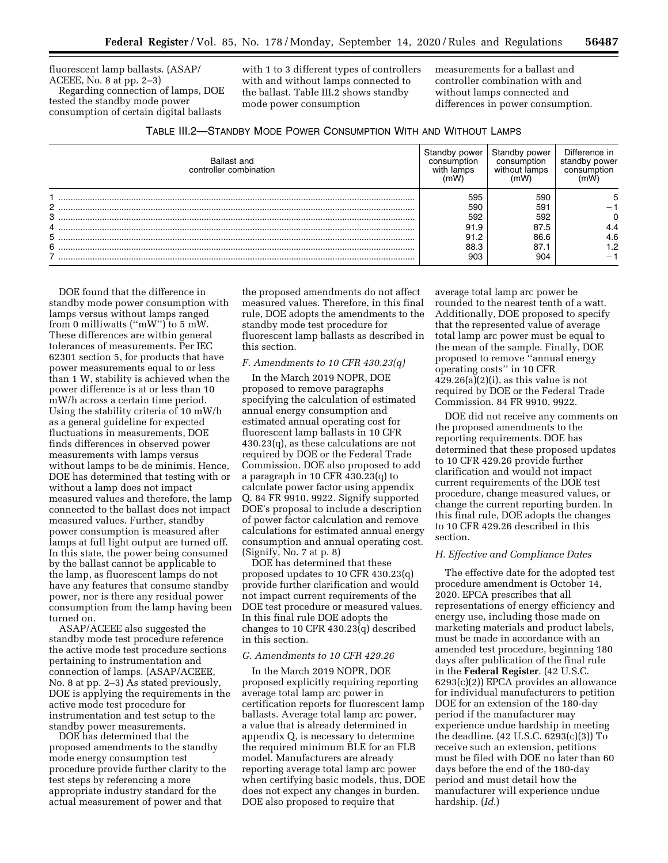fluorescent lamp ballasts. (ASAP/ ACEEE, No. 8 at pp. 2–3) Regarding connection of lamps, DOE tested the standby mode power

consumption of certain digital ballasts

with 1 to 3 different types of controllers with and without lamps connected to the ballast. Table III.2 shows standby mode power consumption

measurements for a ballast and controller combination with and without lamps connected and differences in power consumption.

| TABLE III.2-STANDBY MODE POWER CONSUMPTION WITH AND WITHOUT LAMPS |
|-------------------------------------------------------------------|
|-------------------------------------------------------------------|

| Ballast and<br>controller combination | andby power<br>consumption<br>with lamps         | Standby power<br>consumption<br>without lamps    | Difference in<br>standby power<br>consumption |
|---------------------------------------|--------------------------------------------------|--------------------------------------------------|-----------------------------------------------|
| 2<br>3<br>4<br>5<br>6                 | 595<br>590<br>592<br>91.9<br>91.2<br>88.3<br>903 | 590<br>59.<br>592<br>87.5<br>86.6<br>87.1<br>904 | 4.4<br>4.6<br>2. ا<br>-                       |

DOE found that the difference in standby mode power consumption with lamps versus without lamps ranged from 0 milliwatts (''mW'') to 5 mW. These differences are within general tolerances of measurements. Per IEC 62301 section 5, for products that have power measurements equal to or less than 1 W, stability is achieved when the power difference is at or less than 10 mW/h across a certain time period. Using the stability criteria of 10 mW/h as a general guideline for expected fluctuations in measurements, DOE finds differences in observed power measurements with lamps versus without lamps to be de minimis. Hence, DOE has determined that testing with or without a lamp does not impact measured values and therefore, the lamp connected to the ballast does not impact measured values. Further, standby power consumption is measured after lamps at full light output are turned off. In this state, the power being consumed by the ballast cannot be applicable to the lamp, as fluorescent lamps do not have any features that consume standby power, nor is there any residual power consumption from the lamp having been turned on.

ASAP/ACEEE also suggested the standby mode test procedure reference the active mode test procedure sections pertaining to instrumentation and connection of lamps. (ASAP/ACEEE, No. 8 at pp. 2–3) As stated previously, DOE is applying the requirements in the active mode test procedure for instrumentation and test setup to the standby power measurements.

DOE has determined that the proposed amendments to the standby mode energy consumption test procedure provide further clarity to the test steps by referencing a more appropriate industry standard for the actual measurement of power and that

the proposed amendments do not affect measured values. Therefore, in this final rule, DOE adopts the amendments to the standby mode test procedure for fluorescent lamp ballasts as described in this section.

# *F. Amendments to 10 CFR 430.23(q)*

In the March 2019 NOPR, DOE proposed to remove paragraphs specifying the calculation of estimated annual energy consumption and estimated annual operating cost for fluorescent lamp ballasts in 10 CFR 430.23(q), as these calculations are not required by DOE or the Federal Trade Commission. DOE also proposed to add a paragraph in 10 CFR 430.23(q) to calculate power factor using appendix Q. 84 FR 9910, 9922. Signify supported DOE's proposal to include a description of power factor calculation and remove calculations for estimated annual energy consumption and annual operating cost. (Signify, No. 7 at p. 8)

DOE has determined that these proposed updates to 10 CFR 430.23(q) provide further clarification and would not impact current requirements of the DOE test procedure or measured values. In this final rule DOE adopts the changes to 10 CFR 430.23(q) described in this section.

#### *G. Amendments to 10 CFR 429.26*

In the March 2019 NOPR, DOE proposed explicitly requiring reporting average total lamp arc power in certification reports for fluorescent lamp ballasts. Average total lamp arc power, a value that is already determined in appendix Q, is necessary to determine the required minimum BLE for an FLB model. Manufacturers are already reporting average total lamp arc power when certifying basic models, thus, DOE does not expect any changes in burden. DOE also proposed to require that

average total lamp arc power be rounded to the nearest tenth of a watt. Additionally, DOE proposed to specify that the represented value of average total lamp arc power must be equal to the mean of the sample. Finally, DOE proposed to remove ''annual energy operating costs'' in 10 CFR  $429.26(a)(2)(i)$ , as this value is not required by DOE or the Federal Trade Commission. 84 FR 9910, 9922.

DOE did not receive any comments on the proposed amendments to the reporting requirements. DOE has determined that these proposed updates to 10 CFR 429.26 provide further clarification and would not impact current requirements of the DOE test procedure, change measured values, or change the current reporting burden. In this final rule, DOE adopts the changes to 10 CFR 429.26 described in this section.

#### *H. Effective and Compliance Dates*

The effective date for the adopted test procedure amendment is October 14, 2020. EPCA prescribes that all representations of energy efficiency and energy use, including those made on marketing materials and product labels, must be made in accordance with an amended test procedure, beginning 180 days after publication of the final rule in the **Federal Register**. (42 U.S.C. 6293(c)(2)) EPCA provides an allowance for individual manufacturers to petition DOE for an extension of the 180-day period if the manufacturer may experience undue hardship in meeting the deadline. (42 U.S.C. 6293(c)(3)) To receive such an extension, petitions must be filed with DOE no later than 60 days before the end of the 180-day period and must detail how the manufacturer will experience undue hardship. (*Id.*)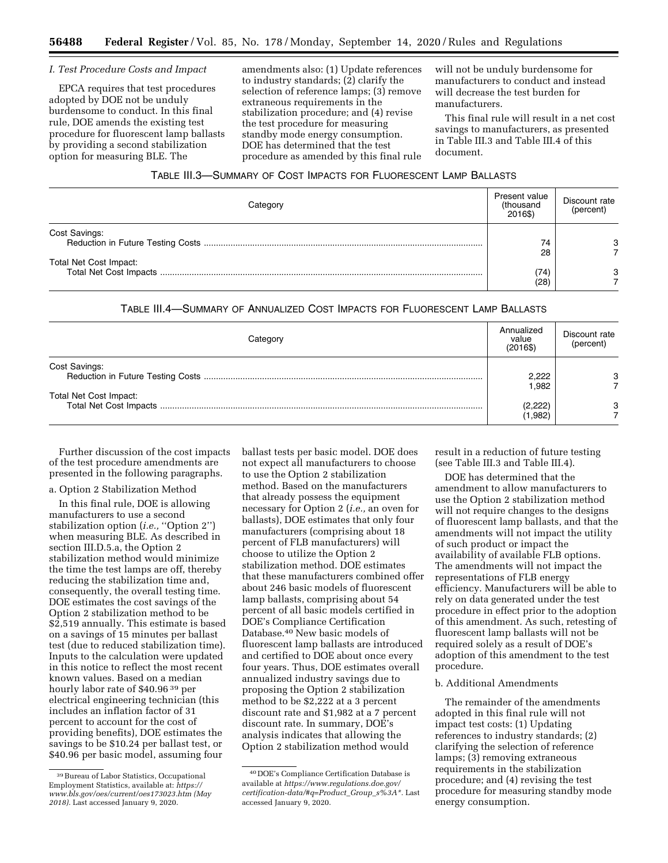## *I. Test Procedure Costs and Impact*

EPCA requires that test procedures adopted by DOE not be unduly burdensome to conduct. In this final rule, DOE amends the existing test procedure for fluorescent lamp ballasts by providing a second stabilization option for measuring BLE. The

amendments also: (1) Update references to industry standards; (2) clarify the selection of reference lamps; (3) remove extraneous requirements in the stabilization procedure; and (4) revise the test procedure for measuring standby mode energy consumption. DOE has determined that the test procedure as amended by this final rule

will not be unduly burdensome for manufacturers to conduct and instead will decrease the test burden for manufacturers.

This final rule will result in a net cost savings to manufacturers, as presented in Table III.3 and Table III.4 of this document.

| TABLE III.3-SUMMARY OF COST IMPACTS FOR FLUORESCENT LAMP BALLASTS |  |  |
|-------------------------------------------------------------------|--|--|
|-------------------------------------------------------------------|--|--|

| Categorv               | Present value<br>(thousand<br>2016\$) | Discount rate<br>(percent) |
|------------------------|---------------------------------------|----------------------------|
| Cost Savings:          | 74<br>28                              | 3                          |
| Total Net Cost Impact: | (74)<br>(28                           | 3                          |

## TABLE III.4—SUMMARY OF ANNUALIZED COST IMPACTS FOR FLUORESCENT LAMP BALLASTS

| Categorv               | Annualized<br>value<br>(2016\$) | Discount rate<br>(percent) |
|------------------------|---------------------------------|----------------------------|
| Cost Savings:          | 2.222<br>1.982                  |                            |
| Total Net Cost Impact: | (2,222)<br>(1,982)              |                            |

Further discussion of the cost impacts of the test procedure amendments are presented in the following paragraphs.

#### a. Option 2 Stabilization Method

In this final rule, DOE is allowing manufacturers to use a second stabilization option (*i.e.*, "Option 2") when measuring BLE. As described in section III.D.5.a, the Option 2 stabilization method would minimize the time the test lamps are off, thereby reducing the stabilization time and, consequently, the overall testing time. DOE estimates the cost savings of the Option 2 stabilization method to be \$2,519 annually. This estimate is based on a savings of 15 minutes per ballast test (due to reduced stabilization time). Inputs to the calculation were updated in this notice to reflect the most recent known values. Based on a median hourly labor rate of \$40.96 39 per electrical engineering technician (this includes an inflation factor of 31 percent to account for the cost of providing benefits), DOE estimates the savings to be \$10.24 per ballast test, or \$40.96 per basic model, assuming four

ballast tests per basic model. DOE does not expect all manufacturers to choose to use the Option 2 stabilization method. Based on the manufacturers that already possess the equipment necessary for Option 2 (*i.e.,* an oven for ballasts), DOE estimates that only four manufacturers (comprising about 18 percent of FLB manufacturers) will choose to utilize the Option 2 stabilization method. DOE estimates that these manufacturers combined offer about 246 basic models of fluorescent lamp ballasts, comprising about 54 percent of all basic models certified in DOE's Compliance Certification Database.40 New basic models of fluorescent lamp ballasts are introduced and certified to DOE about once every four years. Thus, DOE estimates overall annualized industry savings due to proposing the Option 2 stabilization method to be \$2,222 at a 3 percent discount rate and \$1,982 at a 7 percent discount rate. In summary, DOE's analysis indicates that allowing the Option 2 stabilization method would

result in a reduction of future testing (see Table III.3 and Table III.4).

DOE has determined that the amendment to allow manufacturers to use the Option 2 stabilization method will not require changes to the designs of fluorescent lamp ballasts, and that the amendments will not impact the utility of such product or impact the availability of available FLB options. The amendments will not impact the representations of FLB energy efficiency. Manufacturers will be able to rely on data generated under the test procedure in effect prior to the adoption of this amendment. As such, retesting of fluorescent lamp ballasts will not be required solely as a result of DOE's adoption of this amendment to the test procedure.

# b. Additional Amendments

The remainder of the amendments adopted in this final rule will not impact test costs: (1) Updating references to industry standards; (2) clarifying the selection of reference lamps; (3) removing extraneous requirements in the stabilization procedure; and (4) revising the test procedure for measuring standby mode energy consumption.

<sup>39</sup>Bureau of Labor Statistics, Occupational Employment Statistics, available at: *[https://](https://www.bls.gov/oes/current/oes173023.htm) [www.bls.gov/oes/current/oes173023.htm](https://www.bls.gov/oes/current/oes173023.htm) (May 2018).* Last accessed January 9, 2020.

<sup>40</sup> DOE's Compliance Certification Database is available at *[https://www.regulations.doe.gov/](https://www.regulations.doe.gov/certification-data/#q=Product_Group_s%3A*) [certification-data/#q=Product](https://www.regulations.doe.gov/certification-data/#q=Product_Group_s%3A*)*\_*Group*\_*s%3A\*.* Last accessed January 9, 2020.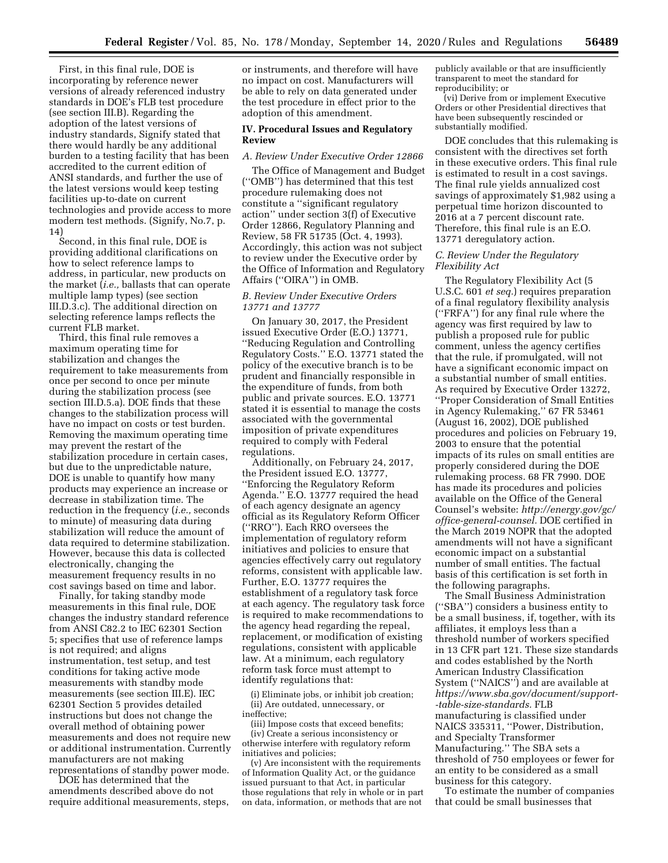First, in this final rule, DOE is incorporating by reference newer versions of already referenced industry standards in DOE's FLB test procedure (see section III.B). Regarding the adoption of the latest versions of industry standards, Signify stated that there would hardly be any additional burden to a testing facility that has been accredited to the current edition of ANSI standards, and further the use of the latest versions would keep testing facilities up-to-date on current technologies and provide access to more modern test methods. (Signify, No.7, p. 14)

Second, in this final rule, DOE is providing additional clarifications on how to select reference lamps to address, in particular, new products on the market (*i.e.,* ballasts that can operate multiple lamp types) (see section III.D.3.c). The additional direction on selecting reference lamps reflects the current FLB market.

Third, this final rule removes a maximum operating time for stabilization and changes the requirement to take measurements from once per second to once per minute during the stabilization process (see section III.D.5.a). DOE finds that these changes to the stabilization process will have no impact on costs or test burden. Removing the maximum operating time may prevent the restart of the stabilization procedure in certain cases, but due to the unpredictable nature, DOE is unable to quantify how many products may experience an increase or decrease in stabilization time. The reduction in the frequency (*i.e.,* seconds to minute) of measuring data during stabilization will reduce the amount of data required to determine stabilization. However, because this data is collected electronically, changing the measurement frequency results in no cost savings based on time and labor.

Finally, for taking standby mode measurements in this final rule, DOE changes the industry standard reference from ANSI C82.2 to IEC 62301 Section 5; specifies that use of reference lamps is not required; and aligns instrumentation, test setup, and test conditions for taking active mode measurements with standby mode measurements (see section III.E). IEC 62301 Section 5 provides detailed instructions but does not change the overall method of obtaining power measurements and does not require new or additional instrumentation. Currently manufacturers are not making representations of standby power mode.

DOE has determined that the amendments described above do not require additional measurements, steps,

or instruments, and therefore will have no impact on cost. Manufacturers will be able to rely on data generated under the test procedure in effect prior to the adoption of this amendment.

## **IV. Procedural Issues and Regulatory Review**

#### *A. Review Under Executive Order 12866*

The Office of Management and Budget (''OMB'') has determined that this test procedure rulemaking does not constitute a ''significant regulatory action'' under section 3(f) of Executive Order 12866, Regulatory Planning and Review, 58 FR 51735 (Oct. 4, 1993). Accordingly, this action was not subject to review under the Executive order by the Office of Information and Regulatory Affairs (''OIRA'') in OMB.

## *B. Review Under Executive Orders 13771 and 13777*

On January 30, 2017, the President issued Executive Order (E.O.) 13771, ''Reducing Regulation and Controlling Regulatory Costs.'' E.O. 13771 stated the policy of the executive branch is to be prudent and financially responsible in the expenditure of funds, from both public and private sources. E.O. 13771 stated it is essential to manage the costs associated with the governmental imposition of private expenditures required to comply with Federal regulations.

Additionally, on February 24, 2017, the President issued E.O. 13777, ''Enforcing the Regulatory Reform Agenda.'' E.O. 13777 required the head of each agency designate an agency official as its Regulatory Reform Officer (''RRO''). Each RRO oversees the implementation of regulatory reform initiatives and policies to ensure that agencies effectively carry out regulatory reforms, consistent with applicable law. Further, E.O. 13777 requires the establishment of a regulatory task force at each agency. The regulatory task force is required to make recommendations to the agency head regarding the repeal, replacement, or modification of existing regulations, consistent with applicable law. At a minimum, each regulatory reform task force must attempt to identify regulations that:

(i) Eliminate jobs, or inhibit job creation; (ii) Are outdated, unnecessary, or ineffective;

(iii) Impose costs that exceed benefits; (iv) Create a serious inconsistency or otherwise interfere with regulatory reform initiatives and policies;

(v) Are inconsistent with the requirements of Information Quality Act, or the guidance issued pursuant to that Act, in particular those regulations that rely in whole or in part on data, information, or methods that are not

publicly available or that are insufficiently transparent to meet the standard for reproducibility; or

(vi) Derive from or implement Executive Orders or other Presidential directives that have been subsequently rescinded or substantially modified.

DOE concludes that this rulemaking is consistent with the directives set forth in these executive orders. This final rule is estimated to result in a cost savings. The final rule yields annualized cost savings of approximately \$1,982 using a perpetual time horizon discounted to 2016 at a 7 percent discount rate. Therefore, this final rule is an E.O. 13771 deregulatory action.

## *C. Review Under the Regulatory Flexibility Act*

The Regulatory Flexibility Act (5 U.S.C. 601 *et seq.*) requires preparation of a final regulatory flexibility analysis (''FRFA'') for any final rule where the agency was first required by law to publish a proposed rule for public comment, unless the agency certifies that the rule, if promulgated, will not have a significant economic impact on a substantial number of small entities. As required by Executive Order 13272, ''Proper Consideration of Small Entities in Agency Rulemaking,'' 67 FR 53461 (August 16, 2002), DOE published procedures and policies on February 19, 2003 to ensure that the potential impacts of its rules on small entities are properly considered during the DOE rulemaking process. 68 FR 7990. DOE has made its procedures and policies available on the Office of the General Counsel's website: *[http://energy.gov/gc/](http://energy.gov/gc/office-general-counsel) [office-general-counsel.](http://energy.gov/gc/office-general-counsel)* DOE certified in the March 2019 NOPR that the adopted amendments will not have a significant economic impact on a substantial number of small entities. The factual basis of this certification is set forth in the following paragraphs.

The Small Business Administration (''SBA'') considers a business entity to be a small business, if, together, with its affiliates, it employs less than a threshold number of workers specified in 13 CFR part 121. These size standards and codes established by the North American Industry Classification System (''NAICS'') and are available at *[https://www.sba.gov/document/support-](https://www.sba.gov/document/support--table-size-standards)  [-table-size-standards.](https://www.sba.gov/document/support--table-size-standards)* FLB manufacturing is classified under NAICS 335311, ''Power, Distribution, and Specialty Transformer Manufacturing.'' The SBA sets a threshold of 750 employees or fewer for an entity to be considered as a small business for this category.

To estimate the number of companies that could be small businesses that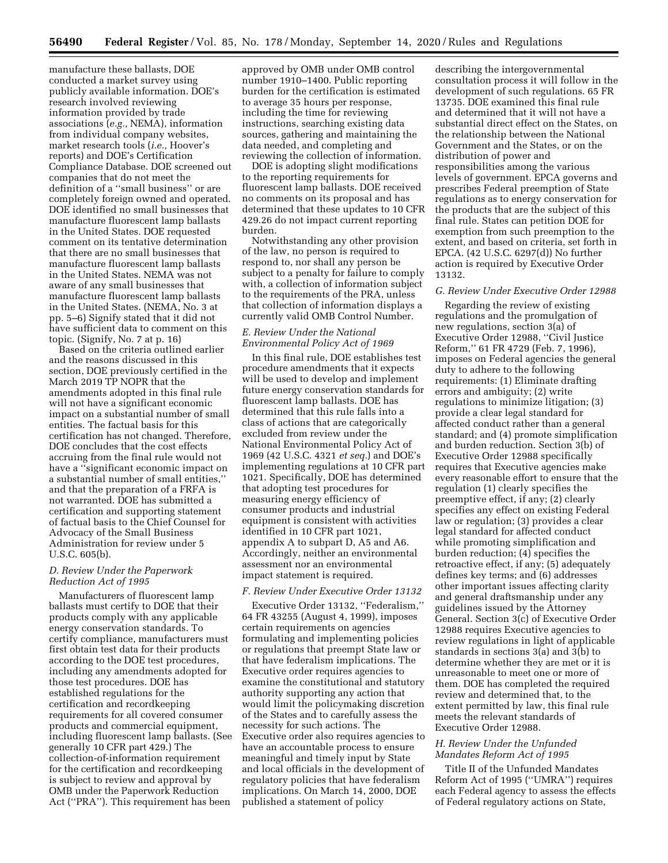manufacture these ballasts, DOE conducted a market survey using publicly available information. DOE's research involved reviewing information provided by trade associations (*e.g.,* NEMA), information from individual company websites, market research tools (*i.e.,* Hoover's reports) and DOE's Certification Compliance Database. DOE screened out companies that do not meet the definition of a ''small business'' or are completely foreign owned and operated. DOE identified no small businesses that manufacture fluorescent lamp ballasts in the United States. DOE requested comment on its tentative determination that there are no small businesses that manufacture fluorescent lamp ballasts in the United States. NEMA was not aware of any small businesses that manufacture fluorescent lamp ballasts in the United States. (NEMA, No. 3 at pp. 5–6) Signify stated that it did not have sufficient data to comment on this topic. (Signify, No. 7 at p. 16)

Based on the criteria outlined earlier and the reasons discussed in this section, DOE previously certified in the March 2019 TP NOPR that the amendments adopted in this final rule will not have a significant economic impact on a substantial number of small entities. The factual basis for this certification has not changed. Therefore, DOE concludes that the cost effects accruing from the final rule would not have a ''significant economic impact on a substantial number of small entities,'' and that the preparation of a FRFA is not warranted. DOE has submitted a certification and supporting statement of factual basis to the Chief Counsel for Advocacy of the Small Business Administration for review under 5 U.S.C. 605(b).

## *D. Review Under the Paperwork Reduction Act of 1995*

Manufacturers of fluorescent lamp ballasts must certify to DOE that their products comply with any applicable energy conservation standards. To certify compliance, manufacturers must first obtain test data for their products according to the DOE test procedures, including any amendments adopted for those test procedures. DOE has established regulations for the certification and recordkeeping requirements for all covered consumer products and commercial equipment, including fluorescent lamp ballasts. (See generally 10 CFR part 429.) The collection-of-information requirement for the certification and recordkeeping is subject to review and approval by OMB under the Paperwork Reduction Act (''PRA''). This requirement has been

approved by OMB under OMB control number 1910–1400. Public reporting burden for the certification is estimated to average 35 hours per response, including the time for reviewing instructions, searching existing data sources, gathering and maintaining the data needed, and completing and reviewing the collection of information.

DOE is adopting slight modifications to the reporting requirements for fluorescent lamp ballasts. DOE received no comments on its proposal and has determined that these updates to 10 CFR 429.26 do not impact current reporting burden.

Notwithstanding any other provision of the law, no person is required to respond to, nor shall any person be subject to a penalty for failure to comply with, a collection of information subject to the requirements of the PRA, unless that collection of information displays a currently valid OMB Control Number.

## *E. Review Under the National Environmental Policy Act of 1969*

In this final rule, DOE establishes test procedure amendments that it expects will be used to develop and implement future energy conservation standards for fluorescent lamp ballasts. DOE has determined that this rule falls into a class of actions that are categorically excluded from review under the National Environmental Policy Act of 1969 (42 U.S.C. 4321 *et seq.*) and DOE's implementing regulations at 10 CFR part 1021. Specifically, DOE has determined that adopting test procedures for measuring energy efficiency of consumer products and industrial equipment is consistent with activities identified in 10 CFR part 1021, appendix A to subpart D, A5 and A6. Accordingly, neither an environmental assessment nor an environmental impact statement is required.

## *F. Review Under Executive Order 13132*

Executive Order 13132, ''Federalism,'' 64 FR 43255 (August 4, 1999), imposes certain requirements on agencies formulating and implementing policies or regulations that preempt State law or that have federalism implications. The Executive order requires agencies to examine the constitutional and statutory authority supporting any action that would limit the policymaking discretion of the States and to carefully assess the necessity for such actions. The Executive order also requires agencies to have an accountable process to ensure meaningful and timely input by State and local officials in the development of regulatory policies that have federalism implications. On March 14, 2000, DOE published a statement of policy

describing the intergovernmental consultation process it will follow in the development of such regulations. 65 FR 13735. DOE examined this final rule and determined that it will not have a substantial direct effect on the States, on the relationship between the National Government and the States, or on the distribution of power and responsibilities among the various levels of government. EPCA governs and prescribes Federal preemption of State regulations as to energy conservation for the products that are the subject of this final rule. States can petition DOE for exemption from such preemption to the extent, and based on criteria, set forth in EPCA. (42 U.S.C. 6297(d)) No further action is required by Executive Order 13132.

### *G. Review Under Executive Order 12988*

Regarding the review of existing regulations and the promulgation of new regulations, section 3(a) of Executive Order 12988, ''Civil Justice Reform,'' 61 FR 4729 (Feb. 7, 1996), imposes on Federal agencies the general duty to adhere to the following requirements: (1) Eliminate drafting errors and ambiguity; (2) write regulations to minimize litigation; (3) provide a clear legal standard for affected conduct rather than a general standard; and (4) promote simplification and burden reduction. Section 3(b) of Executive Order 12988 specifically requires that Executive agencies make every reasonable effort to ensure that the regulation (1) clearly specifies the preemptive effect, if any; (2) clearly specifies any effect on existing Federal law or regulation; (3) provides a clear legal standard for affected conduct while promoting simplification and burden reduction; (4) specifies the retroactive effect, if any; (5) adequately defines key terms; and (6) addresses other important issues affecting clarity and general draftsmanship under any guidelines issued by the Attorney General. Section 3(c) of Executive Order 12988 requires Executive agencies to review regulations in light of applicable standards in sections 3(a) and 3(b) to determine whether they are met or it is unreasonable to meet one or more of them. DOE has completed the required review and determined that, to the extent permitted by law, this final rule meets the relevant standards of Executive Order 12988.

# *H. Review Under the Unfunded Mandates Reform Act of 1995*

Title II of the Unfunded Mandates Reform Act of 1995 (''UMRA'') requires each Federal agency to assess the effects of Federal regulatory actions on State,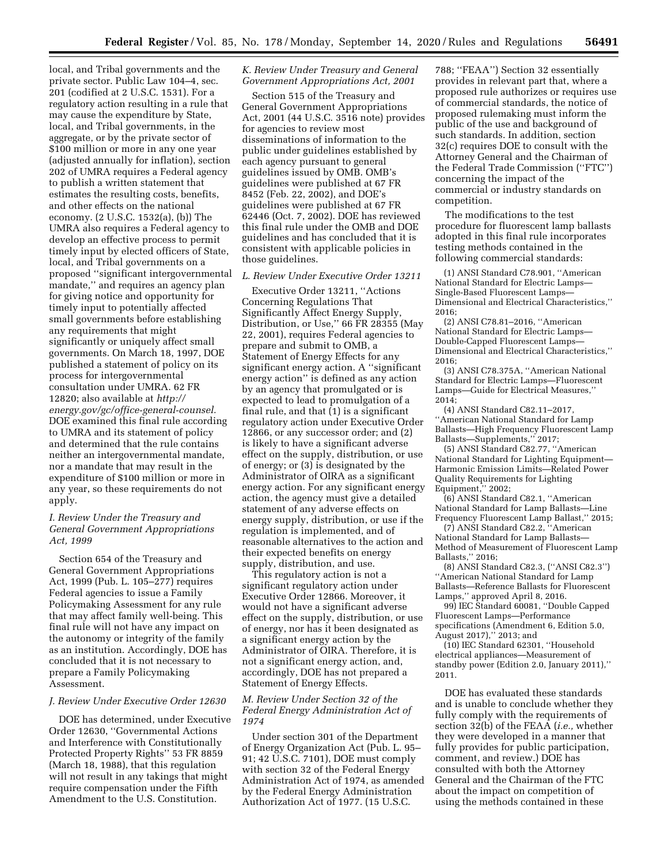local, and Tribal governments and the private sector. Public Law 104–4, sec. 201 (codified at 2 U.S.C. 1531). For a regulatory action resulting in a rule that may cause the expenditure by State, local, and Tribal governments, in the aggregate, or by the private sector of \$100 million or more in any one year (adjusted annually for inflation), section 202 of UMRA requires a Federal agency to publish a written statement that estimates the resulting costs, benefits, and other effects on the national economy. (2 U.S.C. 1532(a), (b)) The UMRA also requires a Federal agency to develop an effective process to permit timely input by elected officers of State, local, and Tribal governments on a proposed ''significant intergovernmental mandate,'' and requires an agency plan for giving notice and opportunity for timely input to potentially affected small governments before establishing any requirements that might significantly or uniquely affect small governments. On March 18, 1997, DOE published a statement of policy on its process for intergovernmental consultation under UMRA. 62 FR 12820; also available at *[http://](http://energy.gov/gc/office-general-counsel) [energy.gov/gc/office-general-counsel.](http://energy.gov/gc/office-general-counsel)*  DOE examined this final rule according to UMRA and its statement of policy and determined that the rule contains neither an intergovernmental mandate, nor a mandate that may result in the expenditure of \$100 million or more in any year, so these requirements do not apply.

# *I. Review Under the Treasury and General Government Appropriations Act, 1999*

Section 654 of the Treasury and General Government Appropriations Act, 1999 (Pub. L. 105–277) requires Federal agencies to issue a Family Policymaking Assessment for any rule that may affect family well-being. This final rule will not have any impact on the autonomy or integrity of the family as an institution. Accordingly, DOE has concluded that it is not necessary to prepare a Family Policymaking Assessment.

### *J. Review Under Executive Order 12630*

DOE has determined, under Executive Order 12630, ''Governmental Actions and Interference with Constitutionally Protected Property Rights'' 53 FR 8859 (March 18, 1988), that this regulation will not result in any takings that might require compensation under the Fifth Amendment to the U.S. Constitution.

## *K. Review Under Treasury and General Government Appropriations Act, 2001*

Section 515 of the Treasury and General Government Appropriations Act, 2001 (44 U.S.C. 3516 note) provides for agencies to review most disseminations of information to the public under guidelines established by each agency pursuant to general guidelines issued by OMB. OMB's guidelines were published at 67 FR 8452 (Feb. 22, 2002), and DOE's guidelines were published at 67 FR 62446 (Oct. 7, 2002). DOE has reviewed this final rule under the OMB and DOE guidelines and has concluded that it is consistent with applicable policies in those guidelines.

## *L. Review Under Executive Order 13211*

Executive Order 13211, ''Actions Concerning Regulations That Significantly Affect Energy Supply, Distribution, or Use,'' 66 FR 28355 (May 22, 2001), requires Federal agencies to prepare and submit to OMB, a Statement of Energy Effects for any significant energy action. A ''significant energy action'' is defined as any action by an agency that promulgated or is expected to lead to promulgation of a final rule, and that (1) is a significant regulatory action under Executive Order 12866, or any successor order; and (2) is likely to have a significant adverse effect on the supply, distribution, or use of energy; or (3) is designated by the Administrator of OIRA as a significant energy action. For any significant energy action, the agency must give a detailed statement of any adverse effects on energy supply, distribution, or use if the regulation is implemented, and of reasonable alternatives to the action and their expected benefits on energy supply, distribution, and use.

This regulatory action is not a significant regulatory action under Executive Order 12866. Moreover, it would not have a significant adverse effect on the supply, distribution, or use of energy, nor has it been designated as a significant energy action by the Administrator of OIRA. Therefore, it is not a significant energy action, and, accordingly, DOE has not prepared a Statement of Energy Effects.

# *M. Review Under Section 32 of the Federal Energy Administration Act of 1974*

Under section 301 of the Department of Energy Organization Act (Pub. L. 95– 91; 42 U.S.C. 7101), DOE must comply with section 32 of the Federal Energy Administration Act of 1974, as amended by the Federal Energy Administration Authorization Act of 1977. (15 U.S.C.

788; ''FEAA'') Section 32 essentially provides in relevant part that, where a proposed rule authorizes or requires use of commercial standards, the notice of proposed rulemaking must inform the public of the use and background of such standards. In addition, section 32(c) requires DOE to consult with the Attorney General and the Chairman of the Federal Trade Commission (''FTC'') concerning the impact of the commercial or industry standards on competition.

The modifications to the test procedure for fluorescent lamp ballasts adopted in this final rule incorporates testing methods contained in the following commercial standards:

(1) ANSI Standard C78.901, ''American National Standard for Electric Lamps— Single-Based Fluorescent Lamps— Dimensional and Electrical Characteristics,'' 2016;

(2) ANSI C78.81–2016, ''American National Standard for Electric Lamps— Double-Capped Fluorescent Lamps— Dimensional and Electrical Characteristics,'' 2016;

(3) ANSI C78.375A, ''American National Standard for Electric Lamps—Fluorescent Lamps—Guide for Electrical Measures,''  $2014$ 

(4) ANSI Standard C82.11–2017, ''American National Standard for Lamp Ballasts—High Frequency Fluorescent Lamp Ballasts—Supplements,'' 2017;

(5) ANSI Standard C82.77, ''American National Standard for Lighting Equipment— Harmonic Emission Limits—Related Power Quality Requirements for Lighting Equipment,'' 2002;

(6) ANSI Standard C82.1, ''American National Standard for Lamp Ballasts—Line Frequency Fluorescent Lamp Ballast,'' 2015;

(7) ANSI Standard C82.2, ''American National Standard for Lamp Ballasts— Method of Measurement of Fluorescent Lamp Ballasts,'' 2016;

(8) ANSI Standard C82.3, (''ANSI C82.3'') ''American National Standard for Lamp Ballasts—Reference Ballasts for Fluorescent Lamps,'' approved April 8, 2016.

99) IEC Standard 60081, ''Double Capped Fluorescent Lamps—Performance specifications (Amendment 6, Edition 5.0, August 2017),'' 2013; and

(10) IEC Standard 62301, ''Household electrical appliances—Measurement of standby power (Edition 2.0, January 2011),'' 2011.

DOE has evaluated these standards and is unable to conclude whether they fully comply with the requirements of section 32(b) of the FEAA (*i.e.,* whether they were developed in a manner that fully provides for public participation, comment, and review.) DOE has consulted with both the Attorney General and the Chairman of the FTC about the impact on competition of using the methods contained in these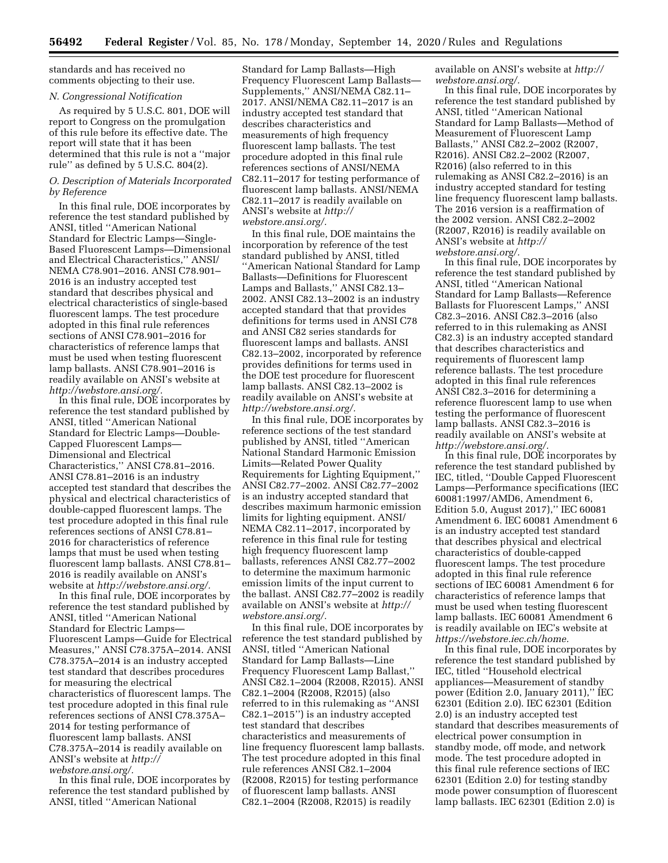standards and has received no comments objecting to their use.

## *N. Congressional Notification*

As required by 5 U.S.C. 801, DOE will report to Congress on the promulgation of this rule before its effective date. The report will state that it has been determined that this rule is not a ''major rule'' as defined by 5 U.S.C. 804(2).

# *O. Description of Materials Incorporated by Reference*

In this final rule, DOE incorporates by reference the test standard published by ANSI, titled ''American National Standard for Electric Lamps—Single-Based Fluorescent Lamps—Dimensional and Electrical Characteristics,'' ANSI/ NEMA C78.901–2016. ANSI C78.901– 2016 is an industry accepted test standard that describes physical and electrical characteristics of single-based fluorescent lamps. The test procedure adopted in this final rule references sections of ANSI C78.901–2016 for characteristics of reference lamps that must be used when testing fluorescent lamp ballasts. ANSI C78.901–2016 is readily available on ANSI's website at *[http://webstore.ansi.org/.](http://webstore.ansi.org/)* 

In this final rule, DOE incorporates by reference the test standard published by ANSI, titled ''American National Standard for Electric Lamps—Double-Capped Fluorescent Lamps— Dimensional and Electrical Characteristics,'' ANSI C78.81–2016. ANSI C78.81–2016 is an industry accepted test standard that describes the physical and electrical characteristics of double-capped fluorescent lamps. The test procedure adopted in this final rule references sections of ANSI C78.81– 2016 for characteristics of reference lamps that must be used when testing fluorescent lamp ballasts. ANSI C78.81– 2016 is readily available on ANSI's website at *[http://webstore.ansi.org/.](http://webstore.ansi.org/)* 

In this final rule, DOE incorporates by reference the test standard published by ANSI, titled ''American National Standard for Electric Lamps— Fluorescent Lamps—Guide for Electrical Measures,'' ANSI C78.375A–2014. ANSI C78.375A–2014 is an industry accepted test standard that describes procedures for measuring the electrical characteristics of fluorescent lamps. The test procedure adopted in this final rule references sections of ANSI C78.375A– 2014 for testing performance of fluorescent lamp ballasts. ANSI C78.375A–2014 is readily available on ANSI's website at *[http://](http://webstore.ansi.org/) [webstore.ansi.org/.](http://webstore.ansi.org/)* 

In this final rule, DOE incorporates by reference the test standard published by ANSI, titled ''American National

Standard for Lamp Ballasts—High Frequency Fluorescent Lamp Ballasts— Supplements,'' ANSI/NEMA C82.11– 2017. ANSI/NEMA C82.11–2017 is an industry accepted test standard that describes characteristics and measurements of high frequency fluorescent lamp ballasts. The test procedure adopted in this final rule references sections of ANSI/NEMA C82.11–2017 for testing performance of fluorescent lamp ballasts. ANSI/NEMA C82.11–2017 is readily available on ANSI's website at *[http://](http://webstore.ansi.org/) [webstore.ansi.org/.](http://webstore.ansi.org/)* 

In this final rule, DOE maintains the incorporation by reference of the test standard published by ANSI, titled ''American National Standard for Lamp Ballasts—Definitions for Fluorescent Lamps and Ballasts,'' ANSI C82.13– 2002. ANSI C82.13–2002 is an industry accepted standard that that provides definitions for terms used in ANSI C78 and ANSI C82 series standards for fluorescent lamps and ballasts. ANSI C82.13–2002, incorporated by reference provides definitions for terms used in the DOE test procedure for fluorescent lamp ballasts. ANSI C82.13–2002 is readily available on ANSI's website at *[http://webstore.ansi.org/.](http://webstore.ansi.org/)* 

In this final rule, DOE incorporates by reference sections of the test standard published by ANSI, titled ''American National Standard Harmonic Emission Limits—Related Power Quality Requirements for Lighting Equipment,'' ANSI C82.77–2002. ANSI C82.77–2002 is an industry accepted standard that describes maximum harmonic emission limits for lighting equipment. ANSI/ NEMA C82.11–2017, incorporated by reference in this final rule for testing high frequency fluorescent lamp ballasts, references ANSI C82.77–2002 to determine the maximum harmonic emission limits of the input current to the ballast. ANSI C82.77–2002 is readily available on ANSI's website at *[http://](http://webstore.ansi.org/) [webstore.ansi.org/.](http://webstore.ansi.org/)* 

In this final rule, DOE incorporates by reference the test standard published by ANSI, titled ''American National Standard for Lamp Ballasts—Line Frequency Fluorescent Lamp Ballast,'' ANSI C82.1–2004 (R2008, R2015). ANSI C82.1–2004 (R2008, R2015) (also referred to in this rulemaking as ''ANSI C82.1–2015'') is an industry accepted test standard that describes characteristics and measurements of line frequency fluorescent lamp ballasts. The test procedure adopted in this final rule references ANSI C82.1–2004 (R2008, R2015) for testing performance of fluorescent lamp ballasts. ANSI C82.1–2004 (R2008, R2015) is readily

available on ANSI's website at *[http://](http://webstore.ansi.org/) [webstore.ansi.org/.](http://webstore.ansi.org/)* 

In this final rule, DOE incorporates by reference the test standard published by ANSI, titled ''American National Standard for Lamp Ballasts—Method of Measurement of Fluorescent Lamp Ballasts,'' ANSI C82.2–2002 (R2007, R2016). ANSI C82.2–2002 (R2007, R2016) (also referred to in this rulemaking as ANSI C82.2–2016) is an industry accepted standard for testing line frequency fluorescent lamp ballasts. The 2016 version is a reaffirmation of the 2002 version. ANSI C82.2–2002 (R2007, R2016) is readily available on ANSI's website at *[http://](http://webstore.ansi.org/) [webstore.ansi.org/.](http://webstore.ansi.org/)* 

In this final rule, DOE incorporates by reference the test standard published by ANSI, titled ''American National Standard for Lamp Ballasts—Reference Ballasts for Fluorescent Lamps,'' ANSI C82.3–2016. ANSI C82.3–2016 (also referred to in this rulemaking as ANSI C82.3) is an industry accepted standard that describes characteristics and requirements of fluorescent lamp reference ballasts. The test procedure adopted in this final rule references ANSI C82.3–2016 for determining a reference fluorescent lamp to use when testing the performance of fluorescent lamp ballasts. ANSI C82.3–2016 is readily available on ANSI's website at *[http://webstore.ansi.org/.](http://webstore.ansi.org/)* 

In this final rule, DOE incorporates by reference the test standard published by IEC, titled, ''Double Capped Fluorescent Lamps—Performance specifications (IEC 60081:1997/AMD6, Amendment 6, Edition 5.0, August 2017),'' IEC 60081 Amendment 6. IEC 60081 Amendment 6 is an industry accepted test standard that describes physical and electrical characteristics of double-capped fluorescent lamps. The test procedure adopted in this final rule reference sections of IEC 60081 Amendment 6 for characteristics of reference lamps that must be used when testing fluorescent lamp ballasts. IEC 60081 Amendment 6 is readily available on IEC's website at *[https://webstore.iec.ch/home.](https://webstore.iec.ch/home)* 

In this final rule, DOE incorporates by reference the test standard published by IEC, titled ''Household electrical appliances—Measurement of standby power (Edition 2.0, January 2011),'' IEC 62301 (Edition 2.0). IEC 62301 (Edition 2.0) is an industry accepted test standard that describes measurements of electrical power consumption in standby mode, off mode, and network mode. The test procedure adopted in this final rule reference sections of IEC 62301 (Edition 2.0) for testing standby mode power consumption of fluorescent lamp ballasts. IEC 62301 (Edition 2.0) is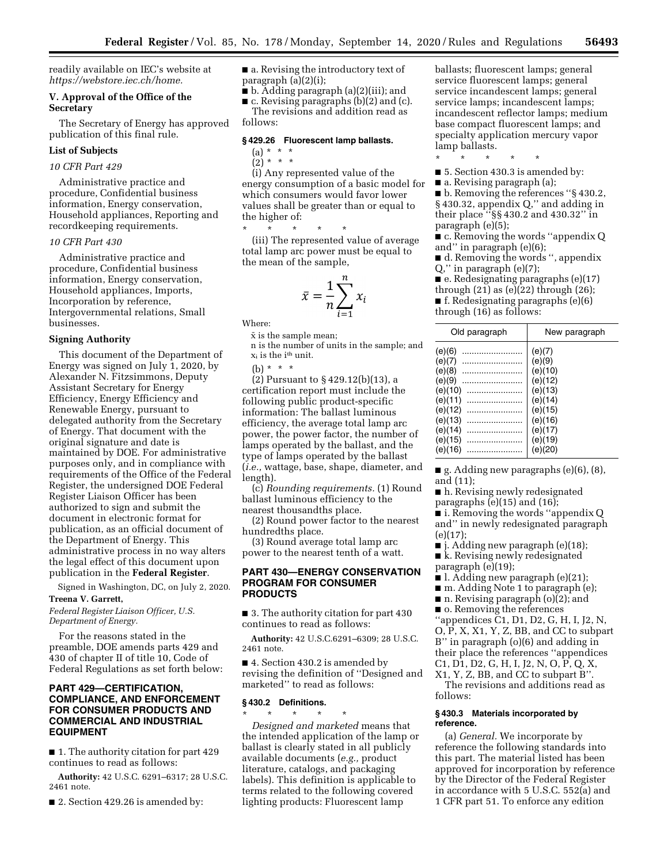readily available on IEC's website at *[https://webstore.iec.ch/home.](https://webstore.iec.ch/home)* 

## **V. Approval of the Office of the Secretary**

The Secretary of Energy has approved publication of this final rule.

## **List of Subjects**

## *10 CFR Part 429*

Administrative practice and procedure, Confidential business information, Energy conservation, Household appliances, Reporting and recordkeeping requirements.

# *10 CFR Part 430*

Administrative practice and procedure, Confidential business information, Energy conservation, Household appliances, Imports, Incorporation by reference, Intergovernmental relations, Small businesses.

# **Signing Authority**

This document of the Department of Energy was signed on July 1, 2020, by Alexander N. Fitzsimmons, Deputy Assistant Secretary for Energy Efficiency, Energy Efficiency and Renewable Energy, pursuant to delegated authority from the Secretary of Energy. That document with the original signature and date is maintained by DOE. For administrative purposes only, and in compliance with requirements of the Office of the Federal Register, the undersigned DOE Federal Register Liaison Officer has been authorized to sign and submit the document in electronic format for publication, as an official document of the Department of Energy. This administrative process in no way alters the legal effect of this document upon publication in the **Federal Register**.

Signed in Washington, DC, on July 2, 2020.

# **Treena V. Garrett,**

*Federal Register Liaison Officer, U.S. Department of Energy.* 

For the reasons stated in the preamble, DOE amends parts 429 and 430 of chapter II of title 10, Code of Federal Regulations as set forth below:

# **PART 429—CERTIFICATION, COMPLIANCE, AND ENFORCEMENT FOR CONSUMER PRODUCTS AND COMMERCIAL AND INDUSTRIAL EQUIPMENT**

■ 1. The authority citation for part 429 continues to read as follows:

**Authority:** 42 U.S.C. 6291–6317; 28 U.S.C. 2461 note.

■ 2. Section 429.26 is amended by:

■ a. Revising the introductory text of paragraph (a)(2)(i);

■ b. Adding paragraph (a)(2)(iii); and

■ c. Revising paragraphs (b)(2) and (c).

The revisions and addition read as follows:

#### **§ 429.26 Fluorescent lamp ballasts.**

- (a) \* \* \*
- $(2) * * * *$

(i) Any represented value of the energy consumption of a basic model for which consumers would favor lower values shall be greater than or equal to the higher of:

\* \* \* \* \* (iii) The represented value of average total lamp arc power must be equal to the mean of the sample,

$$
\bar{x} = \frac{1}{n} \sum_{i=1}^{n} x_i
$$

Where:

 $\bar{x}$  is the sample mean; n is the number of units in the sample; and  $x_i$  is the i<sup>th</sup> unit.

(b) \* \* \*

(2) Pursuant to § 429.12(b)(13), a certification report must include the following public product-specific information: The ballast luminous efficiency, the average total lamp arc power, the power factor, the number of lamps operated by the ballast, and the type of lamps operated by the ballast (*i.e.,* wattage, base, shape, diameter, and length).

(c) *Rounding requirements.* (1) Round ballast luminous efficiency to the nearest thousandths place.

(2) Round power factor to the nearest hundredths place.

(3) Round average total lamp arc power to the nearest tenth of a watt.

# **PART 430—ENERGY CONSERVATION PROGRAM FOR CONSUMER PRODUCTS**

■ 3. The authority citation for part 430 continues to read as follows:

**Authority:** 42 U.S.C.6291–6309; 28 U.S.C. 2461 note.

■ 4. Section 430.2 is amended by revising the definition of ''Designed and marketed'' to read as follows:

### **§ 430.2 Definitions.**

\* \* \* \* \* *Designed and marketed* means that the intended application of the lamp or ballast is clearly stated in all publicly available documents (*e.g.,* product literature, catalogs, and packaging labels). This definition is applicable to terms related to the following covered lighting products: Fluorescent lamp

ballasts; fluorescent lamps; general service fluorescent lamps; general service incandescent lamps; general service lamps; incandescent lamps; incandescent reflector lamps; medium base compact fluorescent lamps; and specialty application mercury vapor lamp ballasts.

\* \* \* \* \*

■ 5. Section 430.3 is amended by:

■ a. Revising paragraph (a);

■ b. Removing the references "§ 430.2, § 430.32, appendix Q," and adding in their place ''§§ 430.2 and 430.32'' in paragraph (e)(5);

■ c. Removing the words "appendix Q and'' in paragraph (e)(6);

■ d. Removing the words ", appendix Q,'' in paragraph (e)(7);

■ e. Redesignating paragraphs (e)(17)

through  $(21)$  as  $(e)(22)$  through  $(26)$ ; ■ f. Redesignating paragraphs (e)(6) through (16) as follows:

| Old paragraph                                                                                          | New paragraph                                                                                            |
|--------------------------------------------------------------------------------------------------------|----------------------------------------------------------------------------------------------------------|
| (e)(6)<br>(e)(7)<br>(e)(8)<br>(e)(9)<br>(e)(10)<br>(e)(11)<br>(e)(12)<br>(e)(13)<br>(e)(14)<br>(e)(15) | (e)(7)<br>(e)(9)<br>(e)(10)<br>(e)(12)<br>(e)(13)<br>(e)(14)<br>(e)(15)<br>(e)(16)<br>(e)(17)<br>(e)(19) |
| (e)(16)                                                                                                | (e)(20)                                                                                                  |

 $\blacksquare$  g. Adding new paragraphs (e)(6), (8), and (11);

■ h. Revising newly redesignated paragraphs (e)(15) and (16);

■ i. Removing the words ''appendix Q and'' in newly redesignated paragraph (e)(17);

■ j. Adding new paragraph (e)(18);

■ k. Revising newly redesignated paragraph (e)(19);

 $\blacksquare$  l. Adding new paragraph (e)(21);

■ m. Adding Note 1 to paragraph (e);

 $\blacksquare$  n. Revising paragraph (o)(2); and

■ o. Removing the references

''appendices C1, D1, D2, G, H, I, J2, N, O, P, X, X1, Y, Z, BB, and CC to subpart B'' in paragraph (o)(6) and adding in their place the references ''appendices C1, D1, D2, G, H, I, J2, N, O, P, Q, X, X1, Y, Z, BB, and CC to subpart B''.

The revisions and additions read as follows:

## **§ 430.3 Materials incorporated by reference.**

(a) *General.* We incorporate by reference the following standards into this part. The material listed has been approved for incorporation by reference by the Director of the Federal Register in accordance with 5 U.S.C. 552(a) and 1 CFR part 51. To enforce any edition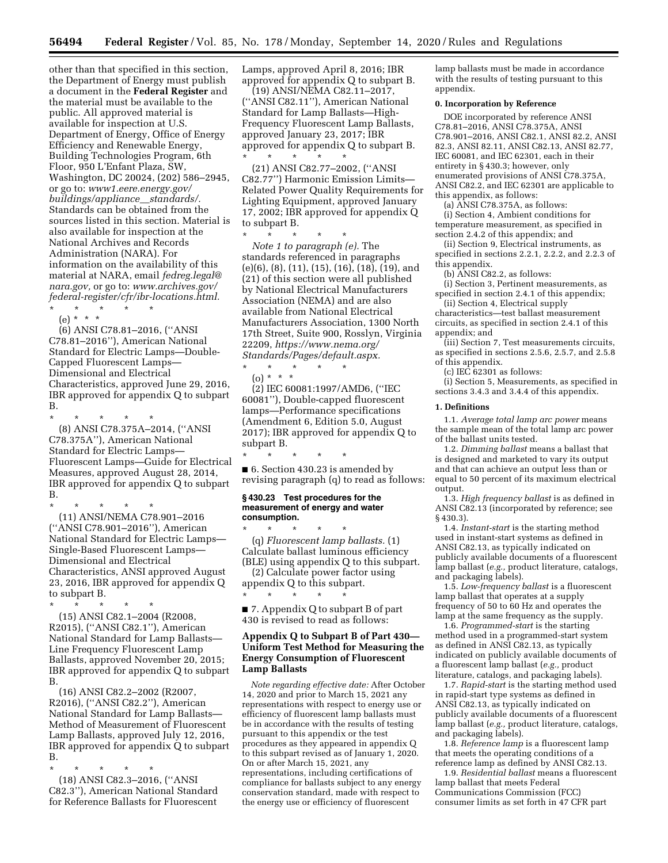other than that specified in this section, the Department of Energy must publish a document in the **Federal Register** and the material must be available to the public. All approved material is available for inspection at U.S. Department of Energy, Office of Energy Efficiency and Renewable Energy, Building Technologies Program, 6th Floor, 950 L'Enfant Plaza, SW, Washington, DC 20024, (202) 586–2945, or go to: *[www1.eere.energy.gov/](http://www1.eere.energy.gov/buildings/appliance__standards/)  [buildings/appliance](http://www1.eere.energy.gov/buildings/appliance__standards/)*\_\_*standards/.*  Standards can be obtained from the sources listed in this section. Material is also available for inspection at the National Archives and Records Administration (NARA). For information on the availability of this material at NARA, email *[fedreg.legal@](mailto:fedreg.legal@nara.gov) [nara.gov,](mailto:fedreg.legal@nara.gov)* or go to: *[www.archives.gov/](http://www.archives.gov/federal-register/cfr/ibr-locations.html) [federal-register/cfr/ibr-locations.html.](http://www.archives.gov/federal-register/cfr/ibr-locations.html)*  \* \* \* \* \*

(e) \* \* \*

(6) ANSI C78.81–2016, (''ANSI C78.81–2016''), American National Standard for Electric Lamps—Double-Capped Fluorescent Lamps— Dimensional and Electrical Characteristics, approved June 29, 2016, IBR approved for appendix Q to subpart B.

\* \* \* \* \* (8) ANSI C78.375A–2014, (''ANSI C78.375A''), American National Standard for Electric Lamps— Fluorescent Lamps—Guide for Electrical Measures, approved August 28, 2014, IBR approved for appendix Q to subpart B.

\* \* \* \* \* (11) ANSI/NEMA C78.901–2016 (''ANSI C78.901–2016''), American National Standard for Electric Lamps— Single-Based Fluorescent Lamps— Dimensional and Electrical Characteristics, ANSI approved August 23, 2016, IBR approved for appendix Q to subpart B.

\* \* \* \* \* (15) ANSI C82.1–2004 (R2008, R2015), (''ANSI C82.1''), American National Standard for Lamp Ballasts— Line Frequency Fluorescent Lamp Ballasts, approved November 20, 2015; IBR approved for appendix Q to subpart B.

(16) ANSI C82.2–2002 (R2007, R2016), (''ANSI C82.2''), American National Standard for Lamp Ballasts— Method of Measurement of Fluorescent Lamp Ballasts, approved July 12, 2016, IBR approved for appendix Q to subpart B.

\* \* \* \* \* (18) ANSI C82.3–2016, (''ANSI C82.3''), American National Standard for Reference Ballasts for Fluorescent

Lamps, approved April 8, 2016; IBR approved for appendix Q to subpart B.

(19) ANSI/NEMA C82.11–2017, (''ANSI C82.11''), American National Standard for Lamp Ballasts—High-Frequency Fluorescent Lamp Ballasts, approved January 23, 2017; IBR approved for appendix Q to subpart B. \* \* \* \* \*

(21) ANSI C82.77–2002, (''ANSI C82.77'') Harmonic Emission Limits— Related Power Quality Requirements for Lighting Equipment, approved January 17, 2002; IBR approved for appendix Q to subpart B.

*Note 1 to paragraph (e).* The standards referenced in paragraphs (e)(6), (8), (11), (15), (16), (18), (19), and (21) of this section were all published by National Electrical Manufacturers Association (NEMA) and are also available from National Electrical Manufacturers Association, 1300 North 17th Street, Suite 900, Rosslyn, Virginia 22209, *[https://www.nema.org/](https://www.nema.org/Standards/Pages/default.aspx)  [Standards/Pages/default.aspx.](https://www.nema.org/Standards/Pages/default.aspx)* 

\* \* \* \* \* (o) \* \* \*

\* \* \* \* \*

(2) IEC 60081:1997/AMD6, (''IEC 60081''), Double-capped fluorescent lamps—Performance specifications (Amendment 6, Edition 5.0, August 2017); IBR approved for appendix Q to subpart B.

\* \* \* \* \* ■ 6. Section 430.23 is amended by revising paragraph (q) to read as follows:

#### **§ 430.23 Test procedures for the measurement of energy and water consumption.**

\* \* \* \* \* (q) *Fluorescent lamp ballasts.* (1) Calculate ballast luminous efficiency (BLE) using appendix Q to this subpart.

(2) Calculate power factor using appendix Q to this subpart. \* \* \* \* \*

■ 7. Appendix Q to subpart B of part 430 is revised to read as follows:

# **Appendix Q to Subpart B of Part 430— Uniform Test Method for Measuring the Energy Consumption of Fluorescent Lamp Ballasts**

*Note regarding effective date:* After October 14, 2020 and prior to March 15, 2021 any representations with respect to energy use or efficiency of fluorescent lamp ballasts must be in accordance with the results of testing pursuant to this appendix or the test procedures as they appeared in appendix Q to this subpart revised as of January 1, 2020. On or after March 15, 2021, any representations, including certifications of compliance for ballasts subject to any energy conservation standard, made with respect to the energy use or efficiency of fluorescent

lamp ballasts must be made in accordance with the results of testing pursuant to this appendix.

#### **0. Incorporation by Reference**

DOE incorporated by reference ANSI C78.81–2016, ANSI C78.375A, ANSI C78.901–2016, ANSI C82.1, ANSI 82.2, ANSI 82.3, ANSI 82.11, ANSI C82.13, ANSI 82.77, IEC 60081, and IEC 62301, each in their entirety in § 430.3; however, only enumerated provisions of ANSI C78.375A, ANSI C82.2, and IEC 62301 are applicable to this appendix, as follows:

(a) ANSI C78.375A, as follows: (i) Section 4, Ambient conditions for temperature measurement, as specified in section 2.4.2 of this appendix; and

(ii) Section 9, Electrical instruments, as specified in sections 2.2.1, 2.2.2, and 2.2.3 of this appendix.

(b) ANSI C82.2, as follows:

(i) Section 3, Pertinent measurements, as specified in section 2.4.1 of this appendix;

(ii) Section 4, Electrical supply characteristics—test ballast measurement circuits, as specified in section 2.4.1 of this appendix; and

(iii) Section 7, Test measurements circuits, as specified in sections 2.5.6, 2.5.7, and 2.5.8 of this appendix.

(c) IEC 62301 as follows:

(i) Section 5, Measurements, as specified in sections 3.4.3 and 3.4.4 of this appendix.

#### **1. Definitions**

1.1. *Average total lamp arc power* means the sample mean of the total lamp arc power of the ballast units tested.

1.2. *Dimming ballast* means a ballast that is designed and marketed to vary its output and that can achieve an output less than or equal to 50 percent of its maximum electrical output.

1.3. *High frequency ballast* is as defined in ANSI C82.13 (incorporated by reference; see § 430.3).

1.4. *Instant-start* is the starting method used in instant-start systems as defined in ANSI C82.13, as typically indicated on publicly available documents of a fluorescent lamp ballast (*e.g.,* product literature, catalogs, and packaging labels).

1.5. *Low-frequency ballast* is a fluorescent lamp ballast that operates at a supply frequency of 50 to 60 Hz and operates the lamp at the same frequency as the supply.

1.6. *Programmed-start* is the starting method used in a programmed-start system as defined in ANSI C82.13, as typically indicated on publicly available documents of a fluorescent lamp ballast (*e.g.,* product literature, catalogs, and packaging labels).

1.7. *Rapid-start* is the starting method used in rapid-start type systems as defined in ANSI C82.13, as typically indicated on publicly available documents of a fluorescent lamp ballast (*e.g.,* product literature, catalogs, and packaging labels).

1.8. *Reference lamp* is a fluorescent lamp that meets the operating conditions of a reference lamp as defined by ANSI C82.13.

1.9. *Residential ballast* means a fluorescent lamp ballast that meets Federal Communications Commission (FCC) consumer limits as set forth in 47 CFR part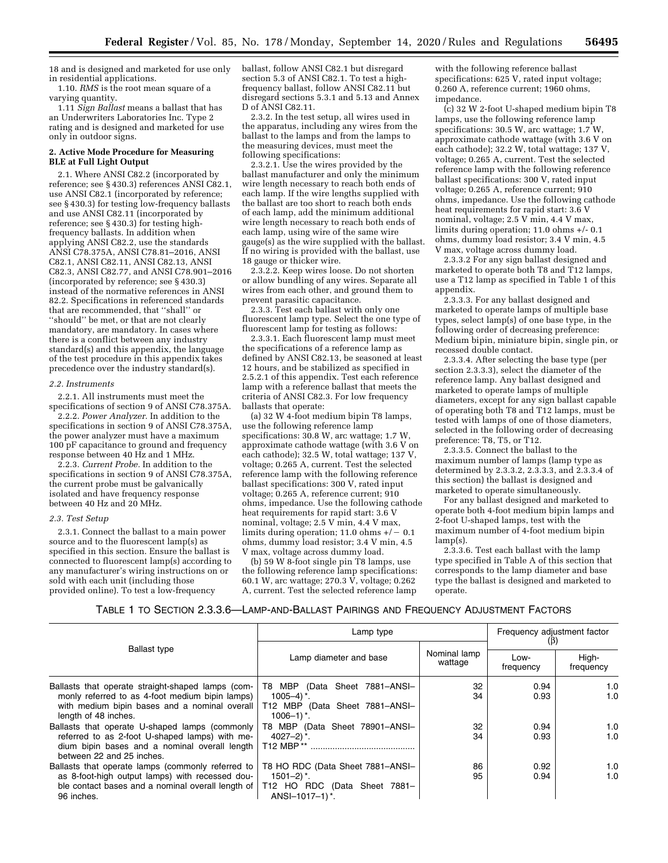18 and is designed and marketed for use only in residential applications.

1.10. *RMS* is the root mean square of a varying quantity.

1.11 *Sign Ballast* means a ballast that has an Underwriters Laboratories Inc. Type 2 rating and is designed and marketed for use only in outdoor signs.

#### **2. Active Mode Procedure for Measuring BLE at Full Light Output**

2.1. Where ANSI C82.2 (incorporated by reference; see § 430.3) references ANSI C82.1, use ANSI C82.1 (incorporated by reference; see § 430.3) for testing low-frequency ballasts and use ANSI C82.11 (incorporated by reference; see § 430.3) for testing highfrequency ballasts. In addition when applying ANSI C82.2, use the standards ANSI C78.375A, ANSI C78.81–2016, ANSI C82.1, ANSI C82.11, ANSI C82.13, ANSI C82.3, ANSI C82.77, and ANSI C78.901–2016 (incorporated by reference; see § 430.3) instead of the normative references in ANSI 82.2. Specifications in referenced standards that are recommended, that ''shall'' or ''should'' be met, or that are not clearly mandatory, are mandatory. In cases where there is a conflict between any industry standard(s) and this appendix, the language of the test procedure in this appendix takes precedence over the industry standard(s).

#### *2.2. Instruments*

2.2.1. All instruments must meet the specifications of section 9 of ANSI C78.375A.

2.2.2. *Power Analyzer.* In addition to the specifications in section 9 of ANSI C78.375A, the power analyzer must have a maximum 100 pF capacitance to ground and frequency response between 40 Hz and 1 MHz.

2.2.3. *Current Probe.* In addition to the specifications in section 9 of ANSI C78.375A, the current probe must be galvanically isolated and have frequency response between 40 Hz and 20 MHz.

#### *2.3. Test Setup*

2.3.1. Connect the ballast to a main power source and to the fluorescent lamp(s) as specified in this section. Ensure the ballast is connected to fluorescent lamp(s) according to any manufacturer's wiring instructions on or sold with each unit (including those provided online). To test a low-frequency

ballast, follow ANSI C82.1 but disregard section 5.3 of ANSI C82.1. To test a highfrequency ballast, follow ANSI C82.11 but disregard sections 5.3.1 and 5.13 and Annex D of ANSI C82.11.

2.3.2. In the test setup, all wires used in the apparatus, including any wires from the ballast to the lamps and from the lamps to the measuring devices, must meet the following specifications:

2.3.2.1. Use the wires provided by the ballast manufacturer and only the minimum wire length necessary to reach both ends of each lamp. If the wire lengths supplied with the ballast are too short to reach both ends of each lamp, add the minimum additional wire length necessary to reach both ends of each lamp, using wire of the same wire gauge(s) as the wire supplied with the ballast. If no wiring is provided with the ballast, use 18 gauge or thicker wire.

2.3.2.2. Keep wires loose. Do not shorten or allow bundling of any wires. Separate all wires from each other, and ground them to prevent parasitic capacitance.

2.3.3. Test each ballast with only one fluorescent lamp type. Select the one type of fluorescent lamp for testing as follows:

2.3.3.1. Each fluorescent lamp must meet the specifications of a reference lamp as defined by ANSI C82.13, be seasoned at least 12 hours, and be stabilized as specified in 2.5.2.1 of this appendix. Test each reference lamp with a reference ballast that meets the criteria of ANSI C82.3. For low frequency ballasts that operate:

(a) 32 W 4-foot medium bipin T8 lamps, use the following reference lamp specifications: 30.8 W, arc wattage; 1.7 W, approximate cathode wattage (with 3.6 V on each cathode); 32.5 W, total wattage; 137 V, voltage; 0.265 A, current. Test the selected reference lamp with the following reference ballast specifications: 300 V, rated input voltage; 0.265 A, reference current; 910 ohms, impedance. Use the following cathode heat requirements for rapid start:  $3.\overline{6}$  V nominal, voltage; 2.5 V min, 4.4 V max, limits during operation; 11.0 ohms  $+/- 0.1$ ohms, dummy load resistor; 3.4 V min, 4.5 V max, voltage across dummy load.

(b) 59 W 8-foot single pin T8 lamps, use the following reference lamp specifications: 60.1 W, arc wattage; 270.3 V, voltage; 0.262 A, current. Test the selected reference lamp

with the following reference ballast specifications: 625 V, rated input voltage; 0.260 A, reference current; 1960 ohms, impedance.

(c) 32 W 2-foot U-shaped medium bipin T8 lamps, use the following reference lamp specifications: 30.5 W, arc wattage; 1.7 W, approximate cathode wattage (with 3.6 V on each cathode); 32.2 W, total wattage; 137 V, voltage; 0.265 A, current. Test the selected reference lamp with the following reference ballast specifications: 300 V, rated input voltage; 0.265 A, reference current; 910 ohms, impedance. Use the following cathode heat requirements for rapid start: 3.6 V nominal, voltage; 2.5 V min, 4.4 V max, limits during operation; 11.0 ohms +/- 0.1 ohms, dummy load resistor; 3.4 V min, 4.5 V max, voltage across dummy load.

2.3.3.2 For any sign ballast designed and marketed to operate both T8 and T12 lamps, use a T12 lamp as specified in Table 1 of this appendix.

2.3.3.3. For any ballast designed and marketed to operate lamps of multiple base types, select lamp(s) of one base type, in the following order of decreasing preference: Medium bipin, miniature bipin, single pin, or recessed double contact.

2.3.3.4. After selecting the base type (per section 2.3.3.3), select the diameter of the reference lamp. Any ballast designed and marketed to operate lamps of multiple diameters, except for any sign ballast capable of operating both T8 and T12 lamps, must be tested with lamps of one of those diameters, selected in the following order of decreasing preference: T8, T5, or T12.

2.3.3.5. Connect the ballast to the maximum number of lamps (lamp type as determined by 2.3.3.2, 2.3.3.3, and 2.3.3.4 of this section) the ballast is designed and marketed to operate simultaneously.

For any ballast designed and marketed to operate both 4-foot medium bipin lamps and 2-foot U-shaped lamps, test with the maximum number of 4-foot medium bipin lamp(s).

2.3.3.6. Test each ballast with the lamp type specified in Table A of this section that corresponds to the lamp diameter and base type the ballast is designed and marketed to operate.

## TABLE 1 TO SECTION 2.3.3.6—LAMP-AND-BALLAST PAIRINGS AND FREQUENCY ADJUSTMENT FACTORS

|                                                                                                                                                                                | Lamp type                                                                                                                 |                         | Frequency adjustment factor |                    |
|--------------------------------------------------------------------------------------------------------------------------------------------------------------------------------|---------------------------------------------------------------------------------------------------------------------------|-------------------------|-----------------------------|--------------------|
| <b>Ballast type</b>                                                                                                                                                            | Lamp diameter and base                                                                                                    | Nominal lamp<br>wattage | Low-<br>frequency           | High-<br>frequency |
| Ballasts that operate straight-shaped lamps (com-<br>monly referred to as 4-foot medium bipin lamps)<br>with medium bipin bases and a nominal overall<br>length of 48 inches.  | T8 MBP<br>(Data Sheet 7881-ANSI-<br>$1005 - 4$ ) $^*$ .<br>T12 MBP (Data Sheet 7881-ANSI-<br>$1006 - 1$ , $\frac{*}{*}$ . | 32<br>34                | 0.94<br>0.93                | 1.0<br>1.0         |
| Ballasts that operate U-shaped lamps (commonly<br>referred to as 2-foot U-shaped lamps) with me-<br>dium bipin bases and a nominal overall length<br>between 22 and 25 inches. | T8 MBP (Data Sheet 78901-ANSI-<br>$4027 - 2$ <sup>*</sup> .<br>T12 MBP **                                                 | 32<br>34                | 0.94<br>0.93                | 1.0<br>1.0         |
| Ballasts that operate lamps (commonly referred to<br>as 8-foot-high output lamps) with recessed dou-<br>ble contact bases and a nominal overall length of<br>96 inches.        | T8 HO RDC (Data Sheet 7881-ANSI-<br>$1501 - 2$ )*.<br>T12 HO RDC (Data Sheet 7881-<br>ANSI-1017-1)*.                      | 86<br>95                | 0.92<br>0.94                | 1.0<br>1.0         |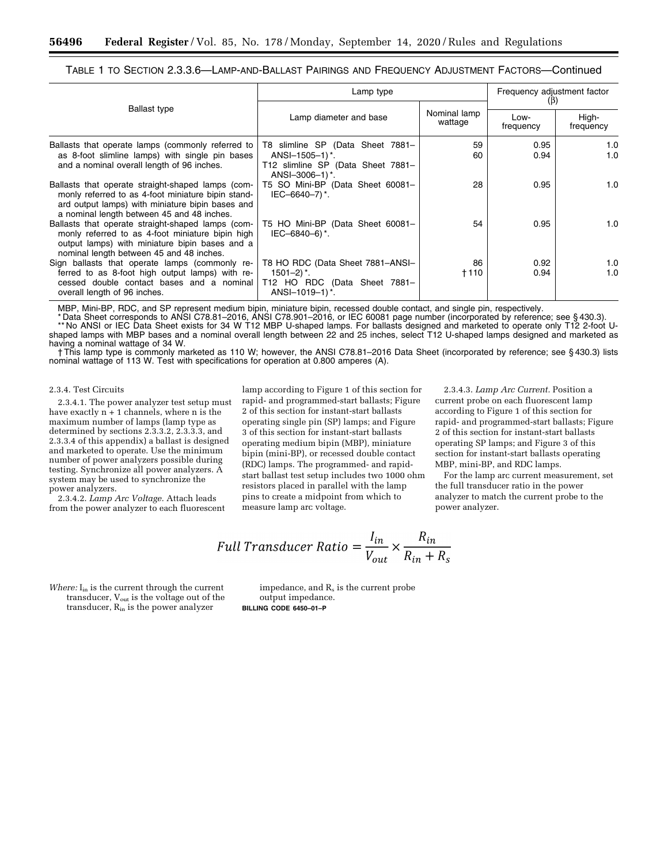TABLE 1 TO SECTION 2.3.3.6—LAMP-AND-BALLAST PAIRINGS AND FREQUENCY ADJUSTMENT FACTORS—Continued

|                                                                                                                                                                                                           | Lamp type                                                                                                               |                         | Frequency adjustment factor<br>$(\beta)$ |                    |
|-----------------------------------------------------------------------------------------------------------------------------------------------------------------------------------------------------------|-------------------------------------------------------------------------------------------------------------------------|-------------------------|------------------------------------------|--------------------|
| <b>Ballast type</b>                                                                                                                                                                                       | Lamp diameter and base                                                                                                  | Nominal lamp<br>wattage | Low-<br>frequency                        | High-<br>frequency |
| Ballasts that operate lamps (commonly referred to<br>as 8-foot slimline lamps) with single pin bases<br>and a nominal overall length of 96 inches.                                                        | T8 slimline SP (Data Sheet 7881-<br>$ANSI-1505-1$ <sup>*</sup> .<br>T12 slimline SP (Data Sheet 7881-<br>ANSI-3006-1)*. | 59<br>60                | 0.95<br>0.94                             | 1.0<br>1.0         |
| Ballasts that operate straight-shaped lamps (com-<br>monly referred to as 4-foot miniature bipin stand-<br>ard output lamps) with miniature bipin bases and<br>a nominal length between 45 and 48 inches. | T5 SO Mini-BP (Data Sheet 60081-<br>IEC-6640-7)*.                                                                       | 28                      | 0.95                                     | 1.0                |
| Ballasts that operate straight-shaped lamps (com-<br>monly referred to as 4-foot miniature bipin high<br>output lamps) with miniature bipin bases and a<br>nominal length between 45 and 48 inches.       | T5 HO Mini-BP (Data Sheet 60081-<br>IEC-6840-6) $^*$ .                                                                  | 54                      | 0.95                                     | 1.0                |
| Sign ballasts that operate lamps (commonly re-<br>ferred to as 8-foot high output lamps) with re-<br>cessed double contact bases and a nominal<br>overall length of 96 inches.                            | T8 HO RDC (Data Sheet 7881-ANSI-<br>$1501 - 2$ , $^*$ .<br>T12 HO RDC (Data Sheet 7881-<br>ANSI-1019-1)*.               | 86<br>+110              | 0.92<br>0.94                             | 1.0<br>1.0         |

MBP, Mini-BP, RDC, and SP represent medium bipin, miniature bipin, recessed double contact, and single pin, respectively.

\* Data Sheet corresponds to ANSI C78.81–2016, ANSI C78.901–2016, or IEC 60081 page number (incorporated by reference; see § 430.3). \*\* No ANSI or IEC Data Sheet exists for 34 W T12 MBP U-shaped lamps. For ballasts designed and marketed to operate only T12 2-foot Ushaped lamps with MBP bases and a nominal overall length between 22 and 25 inches, select T12 U-shaped lamps designed and marketed as having a nominal wattage of 34 W.

† This lamp type is commonly marketed as 110 W; however, the ANSI C78.81–2016 Data Sheet (incorporated by reference; see § 430.3) lists nominal wattage of 113 W. Test with specifications for operation at 0.800 amperes (A).

#### 2.3.4. Test Circuits

2.3.4.1. The power analyzer test setup must have exactly  $n + 1$  channels, where n is the maximum number of lamps (lamp type as determined by sections 2.3.3.2, 2.3.3.3, and 2.3.3.4 of this appendix) a ballast is designed and marketed to operate. Use the minimum number of power analyzers possible during testing. Synchronize all power analyzers. A system may be used to synchronize the power analyzers.

2.3.4.2. *Lamp Arc Voltage.* Attach leads from the power analyzer to each fluorescent

lamp according to Figure 1 of this section for rapid- and programmed-start ballasts; Figure 2 of this section for instant-start ballasts operating single pin (SP) lamps; and Figure 3 of this section for instant-start ballasts operating medium bipin (MBP), miniature bipin (mini-BP), or recessed double contact (RDC) lamps. The programmed- and rapidstart ballast test setup includes two 1000 ohm resistors placed in parallel with the lamp pins to create a midpoint from which to measure lamp arc voltage.

2.3.4.3. *Lamp Arc Current.* Position a current probe on each fluorescent lamp according to Figure 1 of this section for rapid- and programmed-start ballasts; Figure 2 of this section for instant-start ballasts operating SP lamps; and Figure 3 of this section for instant-start ballasts operating MBP, mini-BP, and RDC lamps.

For the lamp arc current measurement, set the full transducer ratio in the power analyzer to match the current probe to the power analyzer.

Full Transducer Ratio = 
$$
\frac{I_{in}}{V_{out}} \times \frac{R_{in}}{R_{in} + R_s}
$$

*Where:* I<sub>in</sub> is the current through the current transducer, V<sub>out</sub> is the voltage out of the transducer, Rin is the power analyzer

impedance, and  $R_s$  is the current probe output impedance. **BILLING CODE 6450–01–P**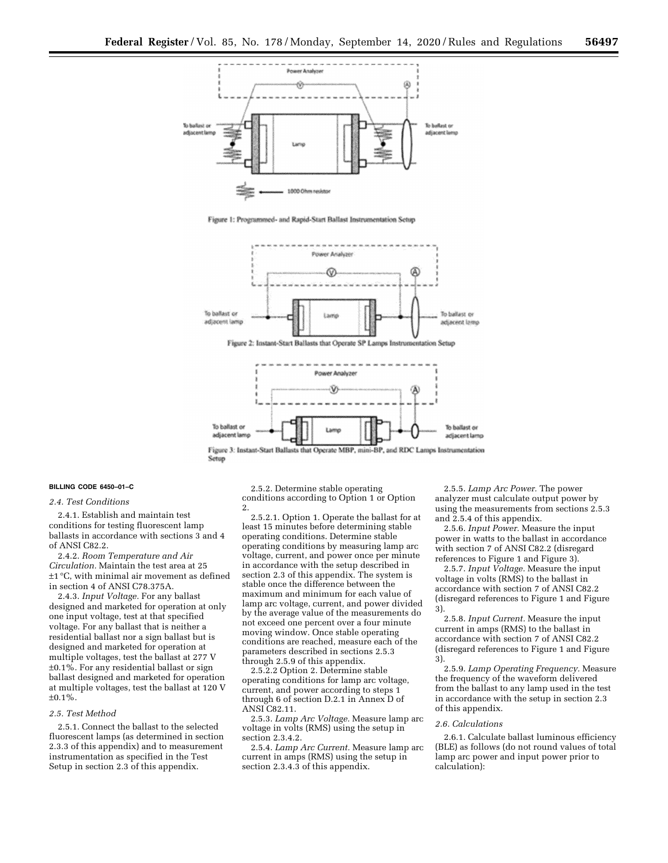

Fioure 1: Proorummed- and Rapid-Start Ballast Instrumentation Setun



Figure 2: Instant-Start Ballasts that Operate SP Lamps Instrumentation Setup



Setup

#### **BILLING CODE 6450–01–C**

#### *2.4. Test Conditions*

2.4.1. Establish and maintain test conditions for testing fluorescent lamp ballasts in accordance with sections 3 and 4 of ANSI C82.2.

2.4.2. *Room Temperature and Air Circulation.* Maintain the test area at 25 ±1 °C, with minimal air movement as defined in section 4 of ANSI C78.375A.

2.4.3. *Input Voltage.* For any ballast designed and marketed for operation at only one input voltage, test at that specified voltage. For any ballast that is neither a residential ballast nor a sign ballast but is designed and marketed for operation at multiple voltages, test the ballast at 277 V ±0.1%. For any residential ballast or sign ballast designed and marketed for operation at multiple voltages, test the ballast at 120 V  $±0.1\%$ .

#### *2.5. Test Method*

2.5.1. Connect the ballast to the selected fluorescent lamps (as determined in section 2.3.3 of this appendix) and to measurement instrumentation as specified in the Test Setup in section 2.3 of this appendix.

2.5.2. Determine stable operating conditions according to Option 1 or Option 2.

2.5.2.1. Option 1. Operate the ballast for at least 15 minutes before determining stable operating conditions. Determine stable operating conditions by measuring lamp arc voltage, current, and power once per minute in accordance with the setup described in section 2.3 of this appendix. The system is stable once the difference between the maximum and minimum for each value of lamp arc voltage, current, and power divided by the average value of the measurements do not exceed one percent over a four minute moving window. Once stable operating conditions are reached, measure each of the parameters described in sections 2.5.3 through 2.5.9 of this appendix.

2.5.2.2 Option 2. Determine stable operating conditions for lamp arc voltage, current, and power according to steps 1 through 6 of section D.2.1 in Annex D of ANSI C82.11.

2.5.3. *Lamp Arc Voltage.* Measure lamp arc voltage in volts (RMS) using the setup in section 2.3.4.2.

2.5.4. *Lamp Arc Current.* Measure lamp arc current in amps (RMS) using the setup in section 2.3.4.3 of this appendix.

2.5.5. *Lamp Arc Power.* The power analyzer must calculate output power by using the measurements from sections 2.5.3 and 2.5.4 of this appendix.

2.5.6. *Input Power.* Measure the input power in watts to the ballast in accordance with section 7 of ANSI C82.2 (disregard references to Figure 1 and Figure 3).

2.5.7. *Input Voltage.* Measure the input voltage in volts (RMS) to the ballast in accordance with section 7 of ANSI C82.2 (disregard references to Figure 1 and Figure 3).

2.5.8. *Input Current.* Measure the input current in amps (RMS) to the ballast in accordance with section 7 of ANSI C82.2 (disregard references to Figure 1 and Figure 3).

2.5.9. *Lamp Operating Frequency.* Measure the frequency of the waveform delivered from the ballast to any lamp used in the test in accordance with the setup in section 2.3 of this appendix.

#### *2.6. Calculations*

2.6.1. Calculate ballast luminous efficiency (BLE) as follows (do not round values of total lamp arc power and input power prior to calculation):